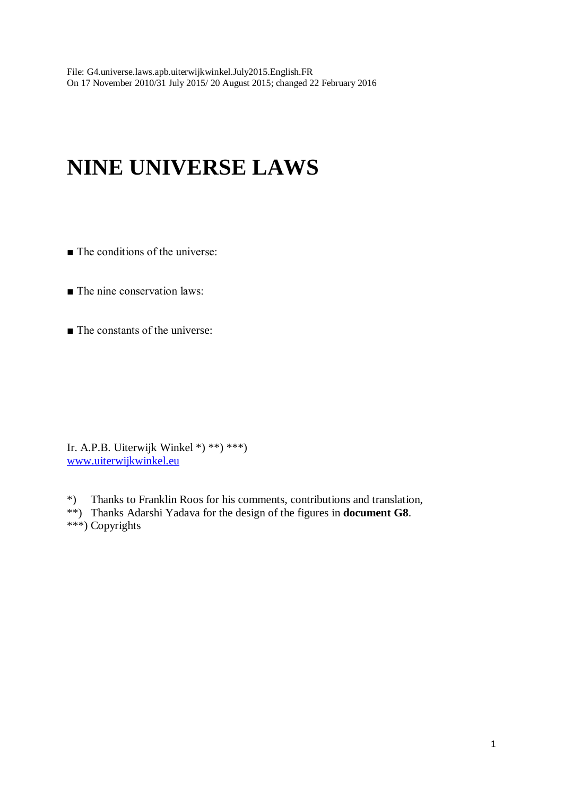# **NINE UNIVERSE LAWS**

- The conditions of the universe:
- The nine conservation laws:
- The constants of the universe:

Ir. A.P.B. Uiterwijk Winkel \*) \*\*) \*\*\*) [www.uiterwijkwinkel.eu](http://www.uiterwijkwinkel.eu/)

\*) Thanks to Franklin Roos for his comments, contributions and translation, \*\*) Thanks Adarshi Yadava for the design of the figures in **document G8**. \*\*\*) Copyrights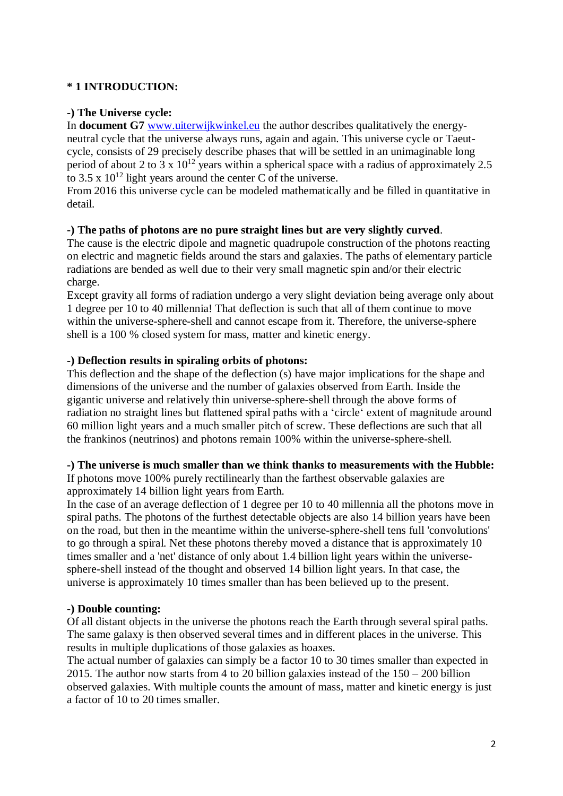# **\* 1 INTRODUCTION:**

# **-) The Universe cycle:**

In **document G7** [www.uiterwijkwinkel.eu](http://www.uiterwijkwinkel.eu/) the author describes qualitatively the energyneutral cycle that the universe always runs, again and again. This universe cycle or Taeutcycle, consists of 29 precisely describe phases that will be settled in an unimaginable long period of about 2 to  $3 \times 10^{12}$  years within a spherical space with a radius of approximately 2.5 to 3.5 x  $10^{12}$  light years around the center C of the universe.

From 2016 this universe cycle can be modeled mathematically and be filled in quantitative in detail.

#### **-) The paths of photons are no pure straight lines but are very slightly curved**.

The cause is the electric dipole and magnetic quadrupole construction of the photons reacting on electric and magnetic fields around the stars and galaxies. The paths of elementary particle radiations are bended as well due to their very small magnetic spin and/or their electric charge.

Except gravity all forms of radiation undergo a very slight deviation being average only about 1 degree per 10 to 40 millennia! That deflection is such that all of them continue to move within the universe-sphere-shell and cannot escape from it. Therefore, the universe-sphere shell is a 100 % closed system for mass, matter and kinetic energy.

# **-) Deflection results in spiraling orbits of photons:**

This deflection and the shape of the deflection (s) have major implications for the shape and dimensions of the universe and the number of galaxies observed from Earth. Inside the gigantic universe and relatively thin universe-sphere-shell through the above forms of radiation no straight lines but flattened spiral paths with a 'circle' extent of magnitude around 60 million light years and a much smaller pitch of screw. These deflections are such that all the frankinos (neutrinos) and photons remain 100% within the universe-sphere-shell.

# **-) The universe is much smaller than we think thanks to measurements with the Hubble:**

If photons move 100% purely rectilinearly than the farthest observable galaxies are approximately 14 billion light years from Earth.

In the case of an average deflection of 1 degree per 10 to 40 millennia all the photons move in spiral paths. The photons of the furthest detectable objects are also 14 billion years have been on the road, but then in the meantime within the universe-sphere-shell tens full 'convolutions' to go through a spiral. Net these photons thereby moved a distance that is approximately 10 times smaller and a 'net' distance of only about 1.4 billion light years within the universesphere-shell instead of the thought and observed 14 billion light years. In that case, the universe is approximately 10 times smaller than has been believed up to the present.

#### **-) Double counting:**

Of all distant objects in the universe the photons reach the Earth through several spiral paths. The same galaxy is then observed several times and in different places in the universe. This results in multiple duplications of those galaxies as hoaxes.

The actual number of galaxies can simply be a factor 10 to 30 times smaller than expected in 2015. The author now starts from 4 to 20 billion galaxies instead of the 150 – 200 billion observed galaxies. With multiple counts the amount of mass, matter and kinetic energy is just a factor of 10 to 20 times smaller.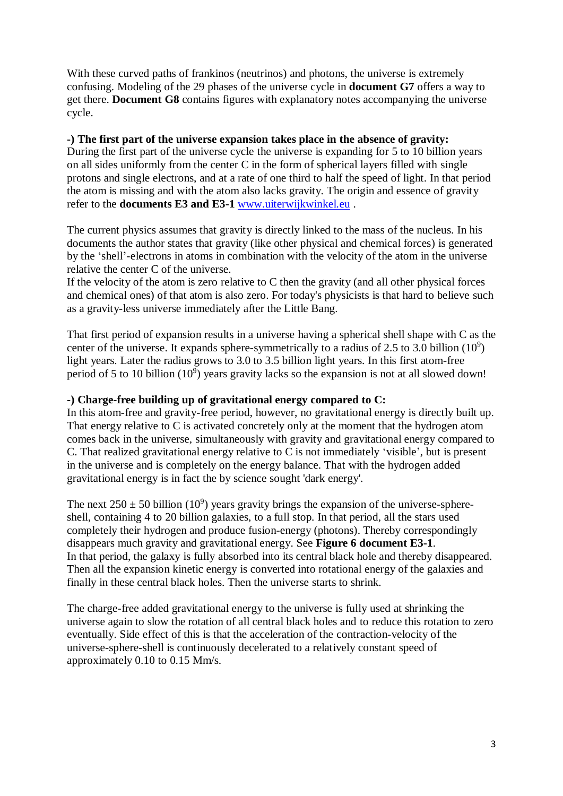With these curved paths of frankinos (neutrinos) and photons, the universe is extremely confusing. Modeling of the 29 phases of the universe cycle in **document G7** offers a way to get there. **Document G8** contains figures with explanatory notes accompanying the universe cycle.

# **-) The first part of the universe expansion takes place in the absence of gravity:**

During the first part of the universe cycle the universe is expanding for 5 to 10 billion years on all sides uniformly from the center C in the form of spherical layers filled with single protons and single electrons, and at a rate of one third to half the speed of light. In that period the atom is missing and with the atom also lacks gravity. The origin and essence of gravity refer to the **documents E3 and E3-1** [www.uiterwijkwinkel.eu](http://www.uiterwijkwinkel.eu/) .

The current physics assumes that gravity is directly linked to the mass of the nucleus. In his documents the author states that gravity (like other physical and chemical forces) is generated by the 'shell'-electrons in atoms in combination with the velocity of the atom in the universe relative the center C of the universe.

If the velocity of the atom is zero relative to  $C$  then the gravity (and all other physical forces and chemical ones) of that atom is also zero. For today's physicists is that hard to believe such as a gravity-less universe immediately after the Little Bang.

That first period of expansion results in a universe having a spherical shell shape with C as the center of the universe. It expands sphere-symmetrically to a radius of 2.5 to 3.0 billion  $(10^9)$ light years. Later the radius grows to 3.0 to 3.5 billion light years. In this first atom-free period of 5 to 10 billion (10<sup>9</sup>) years gravity lacks so the expansion is not at all slowed down!

#### **-) Charge-free building up of gravitational energy compared to C:**

In this atom-free and gravity-free period, however, no gravitational energy is directly built up. That energy relative to C is activated concretely only at the moment that the hydrogen atom comes back in the universe, simultaneously with gravity and gravitational energy compared to C. That realized gravitational energy relative to C is not immediately 'visible', but is present in the universe and is completely on the energy balance. That with the hydrogen added gravitational energy is in fact the by science sought 'dark energy'.

The next  $250 \pm 50$  billion (10<sup>9</sup>) years gravity brings the expansion of the universe-sphereshell, containing 4 to 20 billion galaxies, to a full stop. In that period, all the stars used completely their hydrogen and produce fusion-energy (photons). Thereby correspondingly disappears much gravity and gravitational energy. See **Figure 6 document E3-1**. In that period, the galaxy is fully absorbed into its central black hole and thereby disappeared. Then all the expansion kinetic energy is converted into rotational energy of the galaxies and finally in these central black holes. Then the universe starts to shrink.

The charge-free added gravitational energy to the universe is fully used at shrinking the universe again to slow the rotation of all central black holes and to reduce this rotation to zero eventually. Side effect of this is that the acceleration of the contraction-velocity of the universe-sphere-shell is continuously decelerated to a relatively constant speed of approximately 0.10 to 0.15 Mm/s.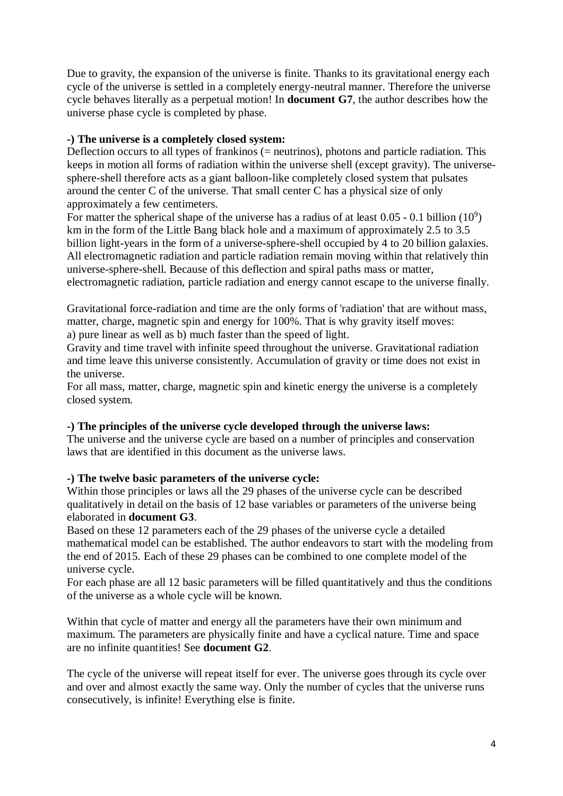Due to gravity, the expansion of the universe is finite. Thanks to its gravitational energy each cycle of the universe is settled in a completely energy-neutral manner. Therefore the universe cycle behaves literally as a perpetual motion! In **document G7**, the author describes how the universe phase cycle is completed by phase.

# **-) The universe is a completely closed system:**

Deflection occurs to all types of frankinos (= neutrinos), photons and particle radiation. This keeps in motion all forms of radiation within the universe shell (except gravity). The universesphere-shell therefore acts as a giant balloon-like completely closed system that pulsates around the center C of the universe. That small center C has a physical size of only approximately a few centimeters.

For matter the spherical shape of the universe has a radius of at least  $0.05 - 0.1$  billion  $(10^9)$ km in the form of the Little Bang black hole and a maximum of approximately 2.5 to 3.5 billion light-years in the form of a universe-sphere-shell occupied by 4 to 20 billion galaxies. All electromagnetic radiation and particle radiation remain moving within that relatively thin universe-sphere-shell. Because of this deflection and spiral paths mass or matter,

electromagnetic radiation, particle radiation and energy cannot escape to the universe finally.

Gravitational force-radiation and time are the only forms of 'radiation' that are without mass, matter, charge, magnetic spin and energy for 100%. That is why gravity itself moves: a) pure linear as well as b) much faster than the speed of light.

Gravity and time travel with infinite speed throughout the universe. Gravitational radiation and time leave this universe consistently. Accumulation of gravity or time does not exist in the universe.

For all mass, matter, charge, magnetic spin and kinetic energy the universe is a completely closed system.

# **-) The principles of the universe cycle developed through the universe laws:**

The universe and the universe cycle are based on a number of principles and conservation laws that are identified in this document as the universe laws.

# **-) The twelve basic parameters of the universe cycle:**

Within those principles or laws all the 29 phases of the universe cycle can be described qualitatively in detail on the basis of 12 base variables or parameters of the universe being elaborated in **document G3**.

Based on these 12 parameters each of the 29 phases of the universe cycle a detailed mathematical model can be established. The author endeavors to start with the modeling from the end of 2015. Each of these 29 phases can be combined to one complete model of the universe cycle.

For each phase are all 12 basic parameters will be filled quantitatively and thus the conditions of the universe as a whole cycle will be known.

Within that cycle of matter and energy all the parameters have their own minimum and maximum. The parameters are physically finite and have a cyclical nature. Time and space are no infinite quantities! See **document G2**.

The cycle of the universe will repeat itself for ever. The universe goes through its cycle over and over and almost exactly the same way. Only the number of cycles that the universe runs consecutively, is infinite! Everything else is finite.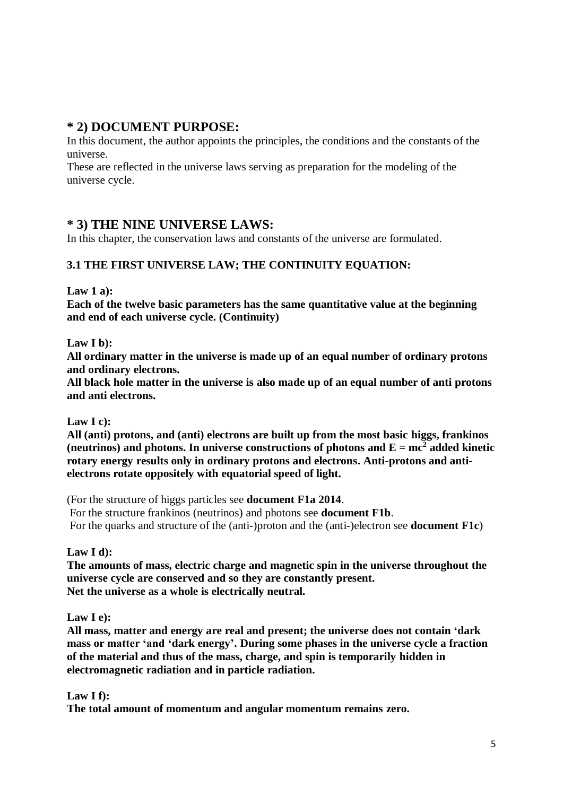# **\* 2) DOCUMENT PURPOSE:**

In this document, the author appoints the principles, the conditions and the constants of the universe.

These are reflected in the universe laws serving as preparation for the modeling of the universe cycle.

# **\* 3) THE NINE UNIVERSE LAWS:**

In this chapter, the conservation laws and constants of the universe are formulated.

# **3.1 THE FIRST UNIVERSE LAW; THE CONTINUITY EQUATION:**

**Law 1 a):**

**Each of the twelve basic parameters has the same quantitative value at the beginning and end of each universe cycle. (Continuity)**

**Law I b):**

**All ordinary matter in the universe is made up of an equal number of ordinary protons and ordinary electrons.**

**All black hole matter in the universe is also made up of an equal number of anti protons and anti electrons.**

**Law I c):**

**All (anti) protons, and (anti) electrons are built up from the most basic higgs, frankinos**  (neutrinos) and photons. In universe constructions of photons and  $E = mc^2$  added kinetic **rotary energy results only in ordinary protons and electrons. Anti-protons and antielectrons rotate oppositely with equatorial speed of light.**

(For the structure of higgs particles see **document F1a 2014**.

For the structure frankinos (neutrinos) and photons see **document F1b**. For the quarks and structure of the (anti-)proton and the (anti-)electron see **document F1c**)

**Law I d):**

**The amounts of mass, electric charge and magnetic spin in the universe throughout the universe cycle are conserved and so they are constantly present. Net the universe as a whole is electrically neutral.**

**Law I e):**

**All mass, matter and energy are real and present; the universe does not contain 'dark mass or matter 'and 'dark energy'. During some phases in the universe cycle a fraction of the material and thus of the mass, charge, and spin is temporarily hidden in electromagnetic radiation and in particle radiation.**

# **Law I f):**

**The total amount of momentum and angular momentum remains zero.**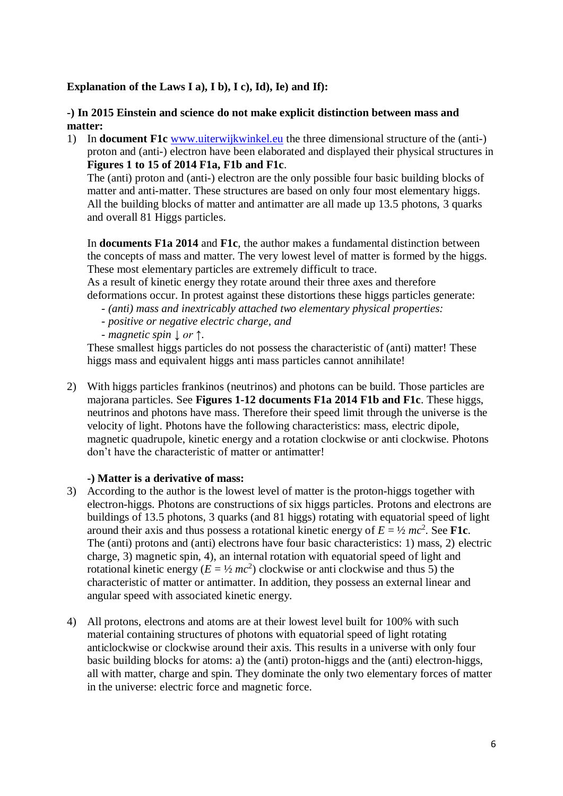**Explanation of the Laws I a), I b), I c), Id), Ie) and If):**

# **-) In 2015 Einstein and science do not make explicit distinction between mass and matter:**

1) In **document F1c** [www.uiterwijkwinkel.eu](http://www.uiterwijkwinkel.eu/) the three dimensional structure of the (anti-) proton and (anti-) electron have been elaborated and displayed their physical structures in **Figures 1 to 15 of 2014 F1a, F1b and F1c**.

The (anti) proton and (anti-) electron are the only possible four basic building blocks of matter and anti-matter. These structures are based on only four most elementary higgs. All the building blocks of matter and antimatter are all made up 13.5 photons, 3 quarks and overall 81 Higgs particles.

In **documents F1a 2014** and **F1c**, the author makes a fundamental distinction between the concepts of mass and matter. The very lowest level of matter is formed by the higgs. These most elementary particles are extremely difficult to trace.

As a result of kinetic energy they rotate around their three axes and therefore deformations occur. In protest against these distortions these higgs particles generate:

- *- (anti) mass and inextricably attached two elementary physical properties:*
- *- positive or negative electric charge, and*
- *- magnetic spin ↓ or ↑*.

These smallest higgs particles do not possess the characteristic of (anti) matter! These higgs mass and equivalent higgs anti mass particles cannot annihilate!

2) With higgs particles frankinos (neutrinos) and photons can be build. Those particles are majorana particles. See **Figures 1-12 documents F1a 2014 F1b and F1c**. These higgs, neutrinos and photons have mass. Therefore their speed limit through the universe is the velocity of light. Photons have the following characteristics: mass, electric dipole, magnetic quadrupole, kinetic energy and a rotation clockwise or anti clockwise. Photons don't have the characteristic of matter or antimatter!

# **-) Matter is a derivative of mass:**

- 3) According to the author is the lowest level of matter is the proton-higgs together with electron-higgs. Photons are constructions of six higgs particles. Protons and electrons are buildings of 13.5 photons, 3 quarks (and 81 higgs) rotating with equatorial speed of light around their axis and thus possess a rotational kinetic energy of  $E = \frac{1}{2} mc^2$ . See **F1c**. The (anti) protons and (anti) electrons have four basic characteristics: 1) mass, 2) electric charge, 3) magnetic spin, 4), an internal rotation with equatorial speed of light and rotational kinetic energy ( $E = \frac{1}{2}mc^2$ ) clockwise or anti clockwise and thus 5) the characteristic of matter or antimatter. In addition, they possess an external linear and angular speed with associated kinetic energy.
- 4) All protons, electrons and atoms are at their lowest level built for 100% with such material containing structures of photons with equatorial speed of light rotating anticlockwise or clockwise around their axis. This results in a universe with only four basic building blocks for atoms: a) the (anti) proton-higgs and the (anti) electron-higgs, all with matter, charge and spin. They dominate the only two elementary forces of matter in the universe: electric force and magnetic force.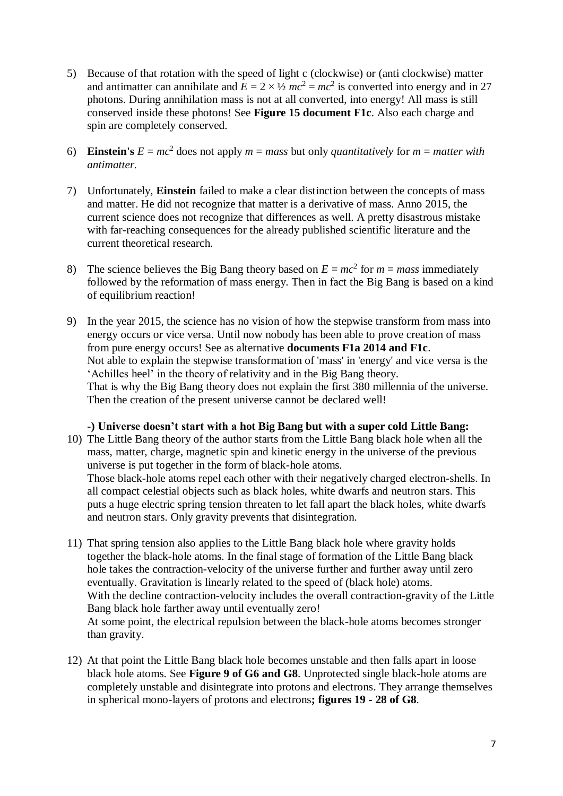- 5) Because of that rotation with the speed of light c (clockwise) or (anti clockwise) matter and antimatter can annihilate and  $E = 2 \times \frac{1}{2} mc^2 = mc^2$  is converted into energy and in 27 photons. During annihilation mass is not at all converted, into energy! All mass is still conserved inside these photons! See **Figure 15 document F1c**. Also each charge and spin are completely conserved.
- 6) **Einstein's**  $E = mc^2$  does not apply  $m = mass$  but only *quantitatively* for  $m = matter$  with *antimatter.*
- 7) Unfortunately, **Einstein** failed to make a clear distinction between the concepts of mass and matter. He did not recognize that matter is a derivative of mass. Anno 2015, the current science does not recognize that differences as well. A pretty disastrous mistake with far-reaching consequences for the already published scientific literature and the current theoretical research.
- 8) The science believes the Big Bang theory based on  $E = mc^2$  for  $m = mass$  immediately followed by the reformation of mass energy. Then in fact the Big Bang is based on a kind of equilibrium reaction!
- 9) In the year 2015, the science has no vision of how the stepwise transform from mass into energy occurs or vice versa. Until now nobody has been able to prove creation of mass from pure energy occurs! See as alternative **documents F1a 2014 and F1c**. Not able to explain the stepwise transformation of 'mass' in 'energy' and vice versa is the 'Achilles heel' in the theory of relativity and in the Big Bang theory. That is why the Big Bang theory does not explain the first 380 millennia of the universe. Then the creation of the present universe cannot be declared well!

#### **-) Universe doesn't start with a hot Big Bang but with a super cold Little Bang:**

- 10) The Little Bang theory of the author starts from the Little Bang black hole when all the mass, matter, charge, magnetic spin and kinetic energy in the universe of the previous universe is put together in the form of black-hole atoms. Those black-hole atoms repel each other with their negatively charged electron-shells. In all compact celestial objects such as black holes, white dwarfs and neutron stars. This puts a huge electric spring tension threaten to let fall apart the black holes, white dwarfs and neutron stars. Only gravity prevents that disintegration.
- 11) That spring tension also applies to the Little Bang black hole where gravity holds together the black-hole atoms. In the final stage of formation of the Little Bang black hole takes the contraction-velocity of the universe further and further away until zero eventually. Gravitation is linearly related to the speed of (black hole) atoms. With the decline contraction-velocity includes the overall contraction-gravity of the Little Bang black hole farther away until eventually zero! At some point, the electrical repulsion between the black-hole atoms becomes stronger than gravity.
- 12) At that point the Little Bang black hole becomes unstable and then falls apart in loose black hole atoms. See **Figure 9 of G6 and G8**. Unprotected single black-hole atoms are completely unstable and disintegrate into protons and electrons. They arrange themselves in spherical mono-layers of protons and electrons**; figures 19 - 28 of G8**.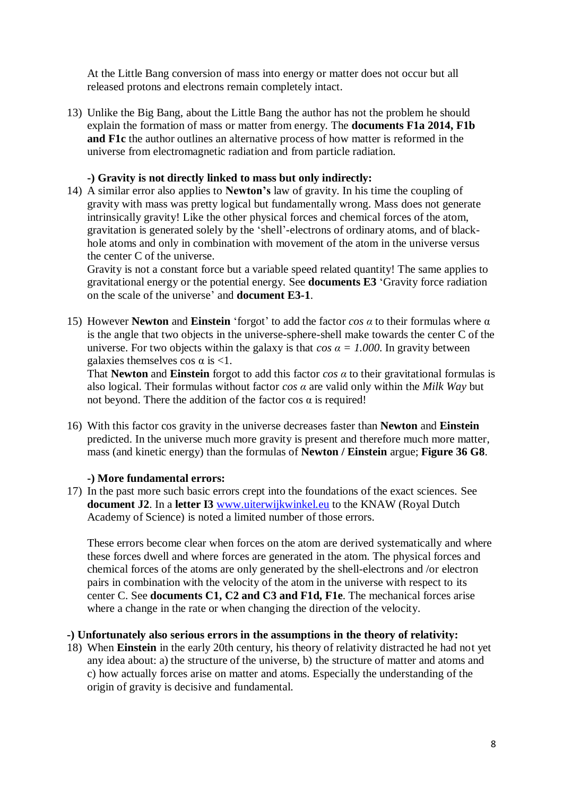At the Little Bang conversion of mass into energy or matter does not occur but all released protons and electrons remain completely intact.

13) Unlike the Big Bang, about the Little Bang the author has not the problem he should explain the formation of mass or matter from energy. The **documents F1a 2014, F1b and F1c** the author outlines an alternative process of how matter is reformed in the universe from electromagnetic radiation and from particle radiation.

#### **-) Gravity is not directly linked to mass but only indirectly:**

14) A similar error also applies to **Newton's** law of gravity. In his time the coupling of gravity with mass was pretty logical but fundamentally wrong. Mass does not generate intrinsically gravity! Like the other physical forces and chemical forces of the atom, gravitation is generated solely by the 'shell'-electrons of ordinary atoms, and of blackhole atoms and only in combination with movement of the atom in the universe versus the center C of the universe.

Gravity is not a constant force but a variable speed related quantity! The same applies to gravitational energy or the potential energy. See **documents E3** 'Gravity force radiation on the scale of the universe' and **document E3-1**.

15) However **Newton** and **Einstein** 'forgot' to add the factor *cos α* to their formulas where α is the angle that two objects in the universe-sphere-shell make towards the center C of the universe. For two objects within the galaxy is that  $\cos \alpha = 1.000$ . In gravity between galaxies themselves cos  $\alpha$  is <1.

That **Newton** and **Einstein** forgot to add this factor *cos α* to their gravitational formulas is also logical. Their formulas without factor *cos α* are valid only within the *Milk Way* but not beyond. There the addition of the factor cos  $α$  is required!

16) With this factor cos gravity in the universe decreases faster than **Newton** and **Einstein** predicted. In the universe much more gravity is present and therefore much more matter, mass (and kinetic energy) than the formulas of **Newton / Einstein** argue; **Figure 36 G8**.

#### **-) More fundamental errors:**

17) In the past more such basic errors crept into the foundations of the exact sciences. See **document J2**. In a **letter I3** [www.uiterwijkwinkel.eu](http://www.uiterwijkwinkel.eu/) to the KNAW (Royal Dutch Academy of Science) is noted a limited number of those errors.

These errors become clear when forces on the atom are derived systematically and where these forces dwell and where forces are generated in the atom. The physical forces and chemical forces of the atoms are only generated by the shell-electrons and /or electron pairs in combination with the velocity of the atom in the universe with respect to its center C. See **documents C1, C2 and C3 and F1d, F1e**. The mechanical forces arise where a change in the rate or when changing the direction of the velocity.

#### **-) Unfortunately also serious errors in the assumptions in the theory of relativity:**

18) When **Einstein** in the early 20th century, his theory of relativity distracted he had not yet any idea about: a) the structure of the universe, b) the structure of matter and atoms and c) how actually forces arise on matter and atoms. Especially the understanding of the origin of gravity is decisive and fundamental.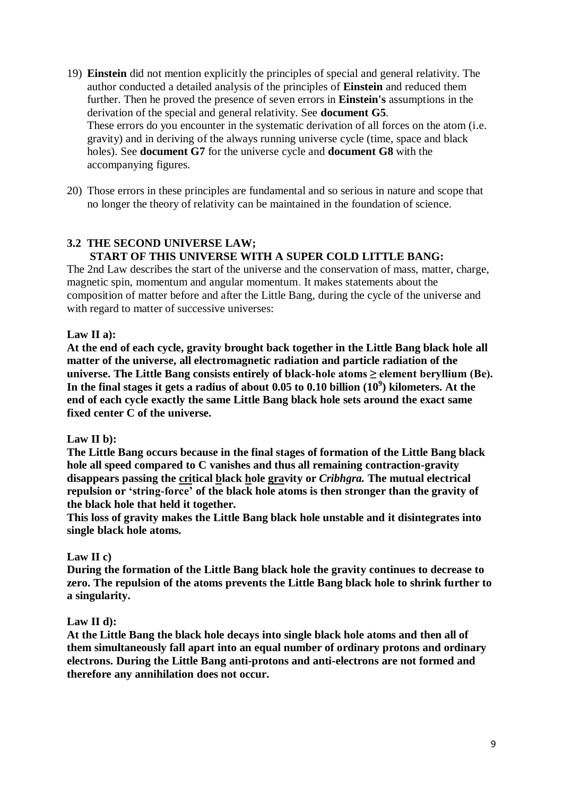- 19) **Einstein** did not mention explicitly the principles of special and general relativity. The author conducted a detailed analysis of the principles of **Einstein** and reduced them further. Then he proved the presence of seven errors in **Einstein's** assumptions in the derivation of the special and general relativity. See **document G5**. These errors do you encounter in the systematic derivation of all forces on the atom (i.e. gravity) and in deriving of the always running universe cycle (time, space and black holes). See **document G7** for the universe cycle and **document G8** with the accompanying figures.
- 20) Those errors in these principles are fundamental and so serious in nature and scope that no longer the theory of relativity can be maintained in the foundation of science.

# **3.2 THE SECOND UNIVERSE LAW; START OF THIS UNIVERSE WITH A SUPER COLD LITTLE BANG:**

The 2nd Law describes the start of the universe and the conservation of mass, matter, charge, magnetic spin, momentum and angular momentum. It makes statements about the composition of matter before and after the Little Bang, during the cycle of the universe and with regard to matter of successive universes:

# **Law II a):**

**At the end of each cycle, gravity brought back together in the Little Bang black hole all matter of the universe, all electromagnetic radiation and particle radiation of the universe. The Little Bang consists entirely of black-hole atoms ≥ element beryllium (Be). In the final stages it gets a radius of about 0.05 to 0.10 billion (10<sup>9</sup> ) kilometers. At the end of each cycle exactly the same Little Bang black hole sets around the exact same fixed center C of the universe.**

#### **Law II b):**

**The Little Bang occurs because in the final stages of formation of the Little Bang black hole all speed compared to C vanishes and thus all remaining contraction-gravity disappears passing the critical black hole gravity or** *Cribhgra.* **The mutual electrical repulsion or 'string-force' of the black hole atoms is then stronger than the gravity of the black hole that held it together.**

**This loss of gravity makes the Little Bang black hole unstable and it disintegrates into single black hole atoms.**

# **Law II c)**

**During the formation of the Little Bang black hole the gravity continues to decrease to zero. The repulsion of the atoms prevents the Little Bang black hole to shrink further to a singularity.**

#### **Law II d):**

**At the Little Bang the black hole decays into single black hole atoms and then all of them simultaneously fall apart into an equal number of ordinary protons and ordinary electrons. During the Little Bang anti-protons and anti-electrons are not formed and therefore any annihilation does not occur.**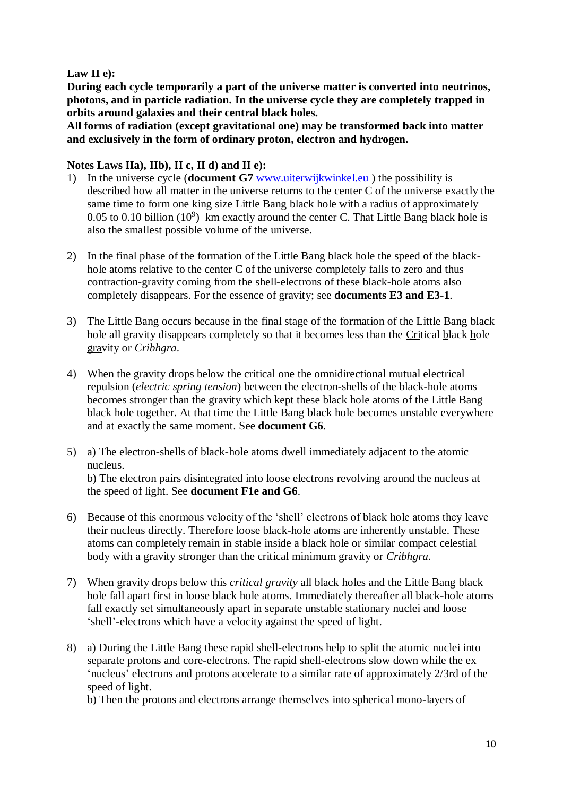# **Law II e):**

**During each cycle temporarily a part of the universe matter is converted into neutrinos, photons, and in particle radiation. In the universe cycle they are completely trapped in orbits around galaxies and their central black holes.**

**All forms of radiation (except gravitational one) may be transformed back into matter and exclusively in the form of ordinary proton, electron and hydrogen.**

# Notes Laws IIa), IIb), II c, II d) and II e):

- 1) In the universe cycle (**document G7** [www.uiterwijkwinkel.eu](http://www.uiterwijkwinkel.eu/) ) the possibility is described how all matter in the universe returns to the center C of the universe exactly the same time to form one king size Little Bang black hole with a radius of approximately 0.05 to 0.10 billion  $(10^9)$  km exactly around the center C. That Little Bang black hole is also the smallest possible volume of the universe.
- 2) In the final phase of the formation of the Little Bang black hole the speed of the blackhole atoms relative to the center C of the universe completely falls to zero and thus contraction-gravity coming from the shell-electrons of these black-hole atoms also completely disappears. For the essence of gravity; see **documents E3 and E3-1**.
- 3) The Little Bang occurs because in the final stage of the formation of the Little Bang black hole all gravity disappears completely so that it becomes less than the Critical black hole gravity or *Cribhgra*.
- 4) When the gravity drops below the critical one the omnidirectional mutual electrical repulsion (*electric spring tension*) between the electron-shells of the black-hole atoms becomes stronger than the gravity which kept these black hole atoms of the Little Bang black hole together. At that time the Little Bang black hole becomes unstable everywhere and at exactly the same moment. See **document G6**.
- 5) a) The electron-shells of black-hole atoms dwell immediately adjacent to the atomic nucleus. b) The electron pairs disintegrated into loose electrons revolving around the nucleus at the speed of light. See **document F1e and G6**.
- 6) Because of this enormous velocity of the 'shell' electrons of black hole atoms they leave their nucleus directly. Therefore loose black-hole atoms are inherently unstable. These atoms can completely remain in stable inside a black hole or similar compact celestial body with a gravity stronger than the critical minimum gravity or *Cribhgra*.
- 7) When gravity drops below this *critical gravity* all black holes and the Little Bang black hole fall apart first in loose black hole atoms. Immediately thereafter all black-hole atoms fall exactly set simultaneously apart in separate unstable stationary nuclei and loose 'shell'-electrons which have a velocity against the speed of light.
- 8) a) During the Little Bang these rapid shell-electrons help to split the atomic nuclei into separate protons and core-electrons. The rapid shell-electrons slow down while the ex 'nucleus' electrons and protons accelerate to a similar rate of approximately 2/3rd of the speed of light.

b) Then the protons and electrons arrange themselves into spherical mono-layers of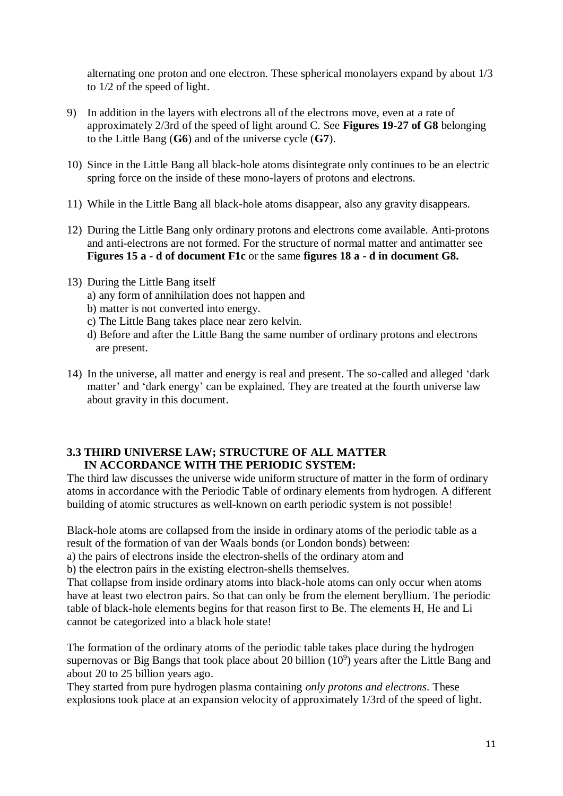alternating one proton and one electron. These spherical monolayers expand by about 1/3 to 1/2 of the speed of light.

- 9) In addition in the layers with electrons all of the electrons move, even at a rate of approximately 2/3rd of the speed of light around C. See **Figures 19-27 of G8** belonging to the Little Bang (**G6**) and of the universe cycle (**G7**).
- 10) Since in the Little Bang all black-hole atoms disintegrate only continues to be an electric spring force on the inside of these mono-layers of protons and electrons.
- 11) While in the Little Bang all black-hole atoms disappear, also any gravity disappears.
- 12) During the Little Bang only ordinary protons and electrons come available. Anti-protons and anti-electrons are not formed. For the structure of normal matter and antimatter see **Figures 15 a - d of document F1c** or the same **figures 18 a - d in document G8.**
- 13) During the Little Bang itself
	- a) any form of annihilation does not happen and
	- b) matter is not converted into energy.
	- c) The Little Bang takes place near zero kelvin.
	- d) Before and after the Little Bang the same number of ordinary protons and electrons are present.
- 14) In the universe, all matter and energy is real and present. The so-called and alleged 'dark matter' and 'dark energy' can be explained. They are treated at the fourth universe law about gravity in this document.

# **3.3 THIRD UNIVERSE LAW; STRUCTURE OF ALL MATTER IN ACCORDANCE WITH THE PERIODIC SYSTEM:**

The third law discusses the universe wide uniform structure of matter in the form of ordinary atoms in accordance with the Periodic Table of ordinary elements from hydrogen. A different building of atomic structures as well-known on earth periodic system is not possible!

Black-hole atoms are collapsed from the inside in ordinary atoms of the periodic table as a result of the formation of van der Waals bonds (or London bonds) between:

a) the pairs of electrons inside the electron-shells of the ordinary atom and

b) the electron pairs in the existing electron-shells themselves.

That collapse from inside ordinary atoms into black-hole atoms can only occur when atoms have at least two electron pairs. So that can only be from the element beryllium. The periodic table of black-hole elements begins for that reason first to Be. The elements H, He and Li cannot be categorized into a black hole state!

The formation of the ordinary atoms of the periodic table takes place during the hydrogen supernovas or Big Bangs that took place about 20 billion  $(10^9)$  years after the Little Bang and about 20 to 25 billion years ago.

They started from pure hydrogen plasma containing *only protons and electrons*. These explosions took place at an expansion velocity of approximately 1/3rd of the speed of light.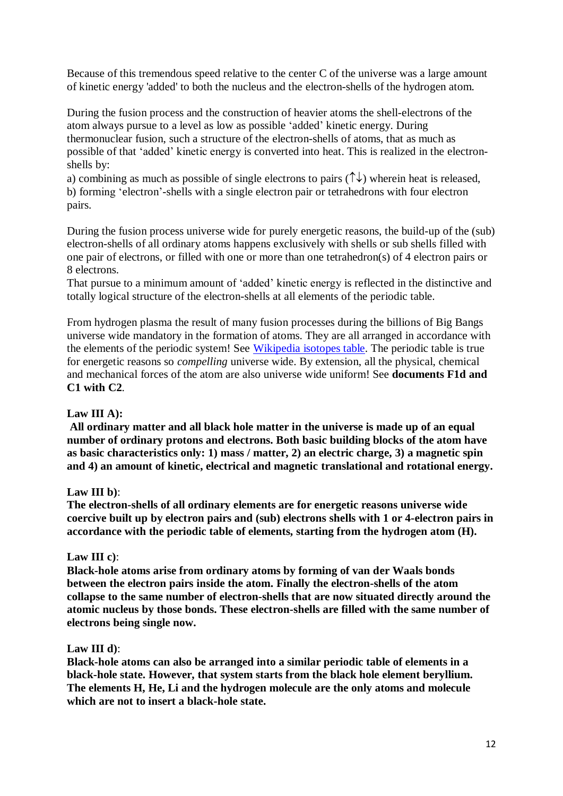Because of this tremendous speed relative to the center C of the universe was a large amount of kinetic energy 'added' to both the nucleus and the electron-shells of the hydrogen atom.

During the fusion process and the construction of heavier atoms the shell-electrons of the atom always pursue to a level as low as possible 'added' kinetic energy. During thermonuclear fusion, such a structure of the electron-shells of atoms, that as much as possible of that 'added' kinetic energy is converted into heat. This is realized in the electronshells by:

a) combining as much as possible of single electrons to pairs  $(\uparrow \downarrow)$  wherein heat is released, b) forming 'electron'-shells with a single electron pair or tetrahedrons with four electron pairs.

During the fusion process universe wide for purely energetic reasons, the build-up of the (sub) electron-shells of all ordinary atoms happens exclusively with shells or sub shells filled with one pair of electrons, or filled with one or more than one tetrahedron(s) of 4 electron pairs or 8 electrons.

That pursue to a minimum amount of 'added' kinetic energy is reflected in the distinctive and totally logical structure of the electron-shells at all elements of the periodic table.

From hydrogen plasma the result of many fusion processes during the billions of Big Bangs universe wide mandatory in the formation of atoms. They are all arranged in accordance with the elements of the periodic system! See [Wikipedia isotopes table.](https://nl.wikipedia.org/wiki/Isotopentabel_%28compleet%29/kb) The periodic table is true for energetic reasons so *compelling* universe wide. By extension, all the physical, chemical and mechanical forces of the atom are also universe wide uniform! See **documents F1d and C1 with C2**.

# **Law III A):**

**All ordinary matter and all black hole matter in the universe is made up of an equal number of ordinary protons and electrons. Both basic building blocks of the atom have as basic characteristics only: 1) mass / matter, 2) an electric charge, 3) a magnetic spin and 4) an amount of kinetic, electrical and magnetic translational and rotational energy.**

# **Law III b)**:

**The electron-shells of all ordinary elements are for energetic reasons universe wide coercive built up by electron pairs and (sub) electrons shells with 1 or 4-electron pairs in accordance with the periodic table of elements, starting from the hydrogen atom (H).**

# **Law III c)**:

**Black-hole atoms arise from ordinary atoms by forming of van der Waals bonds between the electron pairs inside the atom. Finally the electron-shells of the atom collapse to the same number of electron-shells that are now situated directly around the atomic nucleus by those bonds. These electron-shells are filled with the same number of electrons being single now.**

# **Law III d)**:

**Black-hole atoms can also be arranged into a similar periodic table of elements in a black-hole state. However, that system starts from the black hole element beryllium. The elements H, He, Li and the hydrogen molecule are the only atoms and molecule which are not to insert a black-hole state.**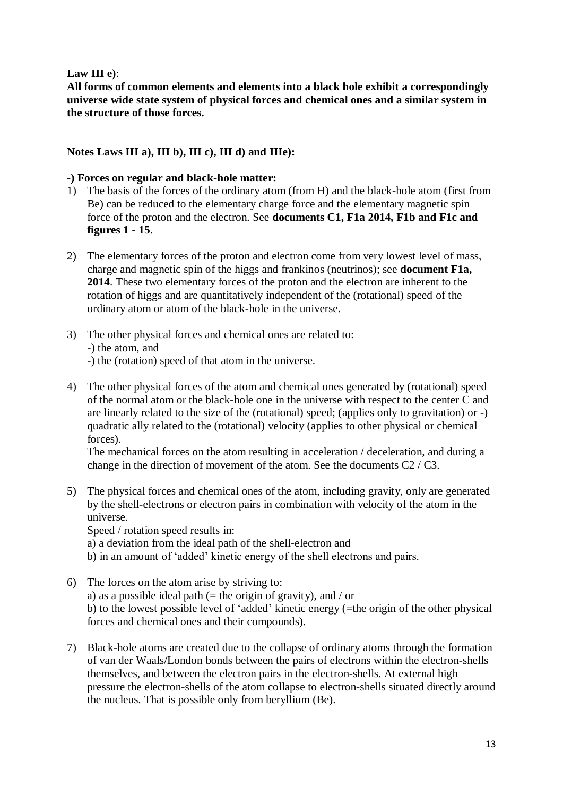# **Law III e)**:

**All forms of common elements and elements into a black hole exhibit a correspondingly universe wide state system of physical forces and chemical ones and a similar system in the structure of those forces.**

**Notes Laws III a), III b), III c), III d) and IIIe):**

# **-) Forces on regular and black-hole matter:**

- 1) The basis of the forces of the ordinary atom (from H) and the black-hole atom (first from Be) can be reduced to the elementary charge force and the elementary magnetic spin force of the proton and the electron. See **documents C1, F1a 2014, F1b and F1c and figures 1 - 15**.
- 2) The elementary forces of the proton and electron come from very lowest level of mass, charge and magnetic spin of the higgs and frankinos (neutrinos); see **document F1a, 2014**. These two elementary forces of the proton and the electron are inherent to the rotation of higgs and are quantitatively independent of the (rotational) speed of the ordinary atom or atom of the black-hole in the universe.
- 3) The other physical forces and chemical ones are related to: -) the atom, and -) the (rotation) speed of that atom in the universe.
- 4) The other physical forces of the atom and chemical ones generated by (rotational) speed of the normal atom or the black-hole one in the universe with respect to the center C and are linearly related to the size of the (rotational) speed; (applies only to gravitation) or -) quadratic ally related to the (rotational) velocity (applies to other physical or chemical forces).

The mechanical forces on the atom resulting in acceleration / deceleration, and during a change in the direction of movement of the atom. See the documents C2 / C3.

5) The physical forces and chemical ones of the atom, including gravity, only are generated by the shell-electrons or electron pairs in combination with velocity of the atom in the universe. Speed / rotation speed results in:

a) a deviation from the ideal path of the shell-electron and

- b) in an amount of 'added' kinetic energy of the shell electrons and pairs.
- 6) The forces on the atom arise by striving to: a) as a possible ideal path (= the origin of gravity), and / or b) to the lowest possible level of 'added' kinetic energy (=the origin of the other physical forces and chemical ones and their compounds).
- 7) Black-hole atoms are created due to the collapse of ordinary atoms through the formation of van der Waals/London bonds between the pairs of electrons within the electron-shells themselves, and between the electron pairs in the electron-shells. At external high pressure the electron-shells of the atom collapse to electron-shells situated directly around the nucleus. That is possible only from beryllium (Be).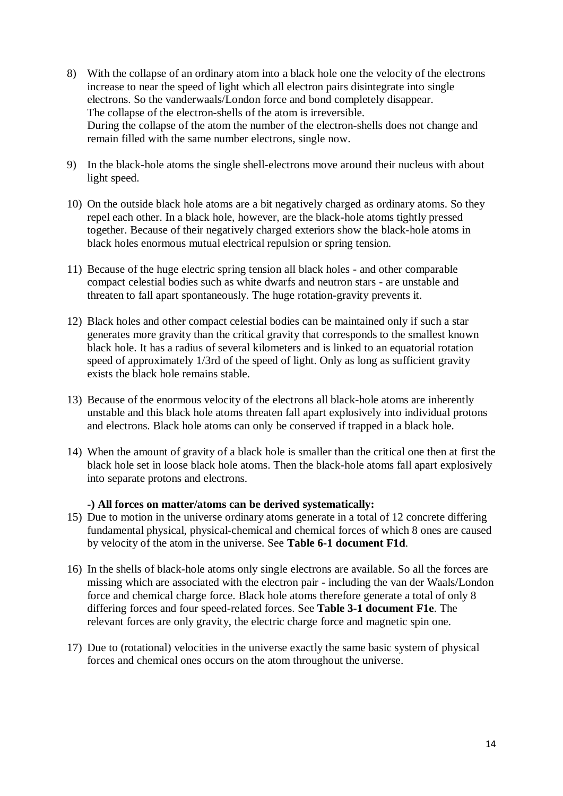- 8) With the collapse of an ordinary atom into a black hole one the velocity of the electrons increase to near the speed of light which all electron pairs disintegrate into single electrons. So the vanderwaals/London force and bond completely disappear. The collapse of the electron-shells of the atom is irreversible. During the collapse of the atom the number of the electron-shells does not change and remain filled with the same number electrons, single now.
- 9) In the black-hole atoms the single shell-electrons move around their nucleus with about light speed.
- 10) On the outside black hole atoms are a bit negatively charged as ordinary atoms. So they repel each other. In a black hole, however, are the black-hole atoms tightly pressed together. Because of their negatively charged exteriors show the black-hole atoms in black holes enormous mutual electrical repulsion or spring tension.
- 11) Because of the huge electric spring tension all black holes and other comparable compact celestial bodies such as white dwarfs and neutron stars - are unstable and threaten to fall apart spontaneously. The huge rotation-gravity prevents it.
- 12) Black holes and other compact celestial bodies can be maintained only if such a star generates more gravity than the critical gravity that corresponds to the smallest known black hole. It has a radius of several kilometers and is linked to an equatorial rotation speed of approximately 1/3rd of the speed of light. Only as long as sufficient gravity exists the black hole remains stable.
- 13) Because of the enormous velocity of the electrons all black-hole atoms are inherently unstable and this black hole atoms threaten fall apart explosively into individual protons and electrons. Black hole atoms can only be conserved if trapped in a black hole.
- 14) When the amount of gravity of a black hole is smaller than the critical one then at first the black hole set in loose black hole atoms. Then the black-hole atoms fall apart explosively into separate protons and electrons.

#### **-) All forces on matter/atoms can be derived systematically:**

- 15) Due to motion in the universe ordinary atoms generate in a total of 12 concrete differing fundamental physical, physical-chemical and chemical forces of which 8 ones are caused by velocity of the atom in the universe. See **Table 6-1 document F1d**.
- 16) In the shells of black-hole atoms only single electrons are available. So all the forces are missing which are associated with the electron pair - including the van der Waals/London force and chemical charge force. Black hole atoms therefore generate a total of only 8 differing forces and four speed-related forces. See **Table 3-1 document F1e**. The relevant forces are only gravity, the electric charge force and magnetic spin one.
- 17) Due to (rotational) velocities in the universe exactly the same basic system of physical forces and chemical ones occurs on the atom throughout the universe.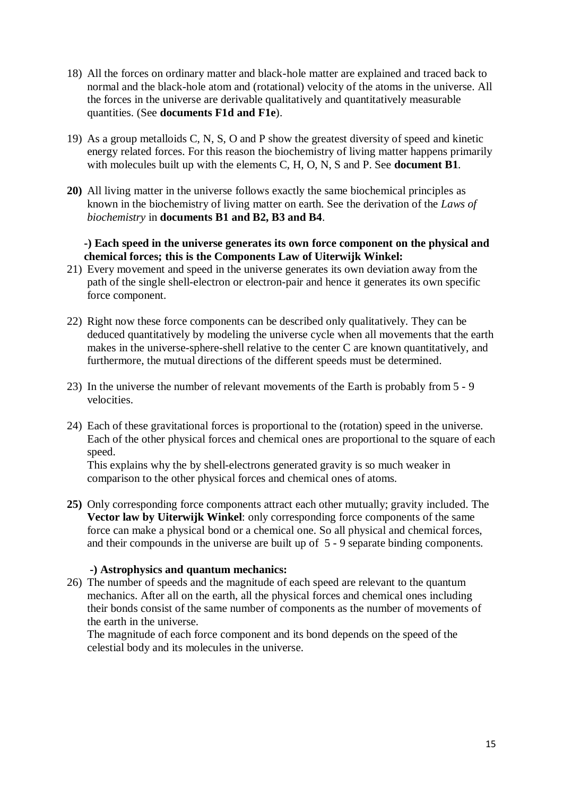- 18) All the forces on ordinary matter and black-hole matter are explained and traced back to normal and the black-hole atom and (rotational) velocity of the atoms in the universe. All the forces in the universe are derivable qualitatively and quantitatively measurable quantities. (See **documents F1d and F1e**).
- 19) As a group metalloids C, N, S, O and P show the greatest diversity of speed and kinetic energy related forces. For this reason the biochemistry of living matter happens primarily with molecules built up with the elements C, H, O, N, S and P. See **document B1**.
- **20)** All living matter in the universe follows exactly the same biochemical principles as known in the biochemistry of living matter on earth. See the derivation of the *Laws of biochemistry* in **documents B1 and B2, B3 and B4**.

# **-) Each speed in the universe generates its own force component on the physical and chemical forces; this is the Components Law of Uiterwijk Winkel:**

- 21) Every movement and speed in the universe generates its own deviation away from the path of the single shell-electron or electron-pair and hence it generates its own specific force component.
- 22) Right now these force components can be described only qualitatively. They can be deduced quantitatively by modeling the universe cycle when all movements that the earth makes in the universe-sphere-shell relative to the center C are known quantitatively, and furthermore, the mutual directions of the different speeds must be determined.
- 23) In the universe the number of relevant movements of the Earth is probably from 5 9 velocities.
- 24) Each of these gravitational forces is proportional to the (rotation) speed in the universe. Each of the other physical forces and chemical ones are proportional to the square of each speed.

This explains why the by shell-electrons generated gravity is so much weaker in comparison to the other physical forces and chemical ones of atoms.

**25)** Only corresponding force components attract each other mutually; gravity included. The **Vector law by Uiterwijk Winkel**: only corresponding force components of the same force can make a physical bond or a chemical one. So all physical and chemical forces, and their compounds in the universe are built up of 5 - 9 separate binding components.

# **-) Astrophysics and quantum mechanics:**

26) The number of speeds and the magnitude of each speed are relevant to the quantum mechanics. After all on the earth, all the physical forces and chemical ones including their bonds consist of the same number of components as the number of movements of the earth in the universe.

The magnitude of each force component and its bond depends on the speed of the celestial body and its molecules in the universe.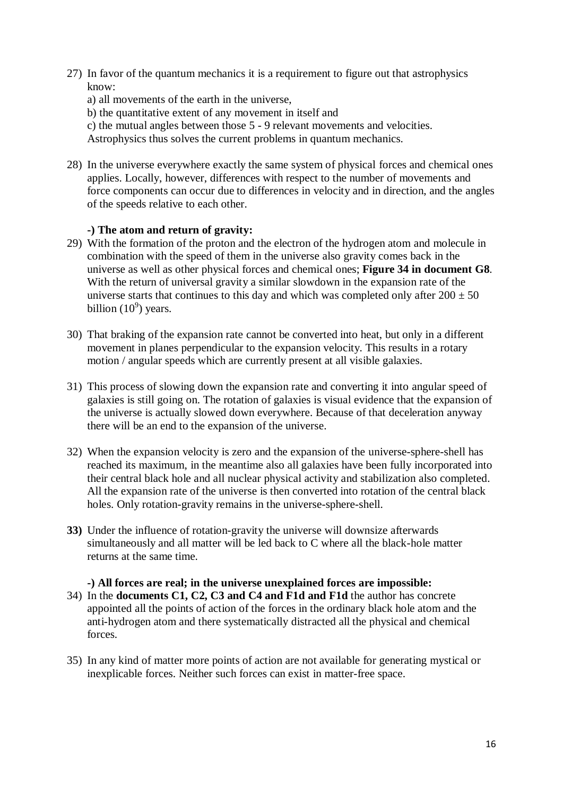27) In favor of the quantum mechanics it is a requirement to figure out that astrophysics know:

a) all movements of the earth in the universe,

b) the quantitative extent of any movement in itself and

c) the mutual angles between those 5 - 9 relevant movements and velocities.

Astrophysics thus solves the current problems in quantum mechanics.

28) In the universe everywhere exactly the same system of physical forces and chemical ones applies. Locally, however, differences with respect to the number of movements and force components can occur due to differences in velocity and in direction, and the angles of the speeds relative to each other.

# **-) The atom and return of gravity:**

- 29) With the formation of the proton and the electron of the hydrogen atom and molecule in combination with the speed of them in the universe also gravity comes back in the universe as well as other physical forces and chemical ones; **Figure 34 in document G8**. With the return of universal gravity a similar slowdown in the expansion rate of the universe starts that continues to this day and which was completed only after  $200 \pm 50$ billion  $(10^9)$  years.
- 30) That braking of the expansion rate cannot be converted into heat, but only in a different movement in planes perpendicular to the expansion velocity. This results in a rotary motion / angular speeds which are currently present at all visible galaxies.
- 31) This process of slowing down the expansion rate and converting it into angular speed of galaxies is still going on. The rotation of galaxies is visual evidence that the expansion of the universe is actually slowed down everywhere. Because of that deceleration anyway there will be an end to the expansion of the universe.
- 32) When the expansion velocity is zero and the expansion of the universe-sphere-shell has reached its maximum, in the meantime also all galaxies have been fully incorporated into their central black hole and all nuclear physical activity and stabilization also completed. All the expansion rate of the universe is then converted into rotation of the central black holes. Only rotation-gravity remains in the universe-sphere-shell.
- **33)** Under the influence of rotation-gravity the universe will downsize afterwards simultaneously and all matter will be led back to C where all the black-hole matter returns at the same time.

# **-) All forces are real; in the universe unexplained forces are impossible:**

- 34) In the **documents C1, C2, C3 and C4 and F1d and F1d** the author has concrete appointed all the points of action of the forces in the ordinary black hole atom and the anti-hydrogen atom and there systematically distracted all the physical and chemical forces.
- 35) In any kind of matter more points of action are not available for generating mystical or inexplicable forces. Neither such forces can exist in matter-free space.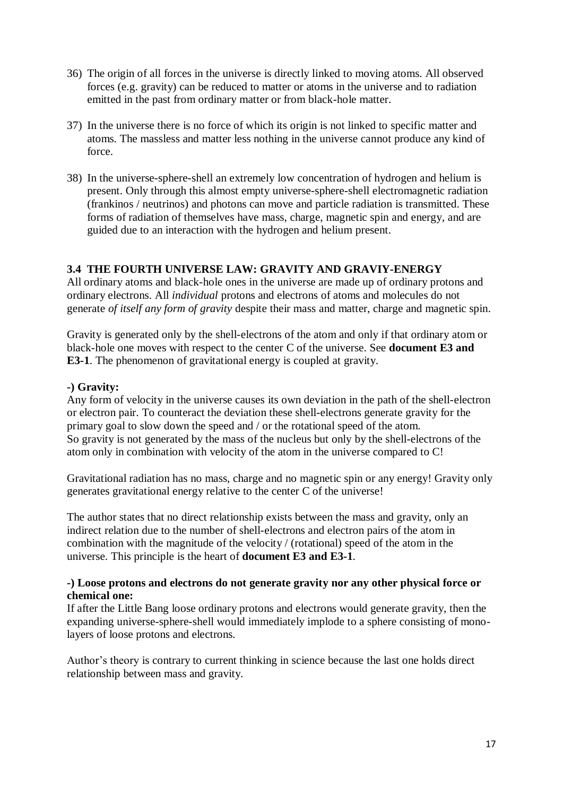- 36) The origin of all forces in the universe is directly linked to moving atoms. All observed forces (e.g. gravity) can be reduced to matter or atoms in the universe and to radiation emitted in the past from ordinary matter or from black-hole matter.
- 37) In the universe there is no force of which its origin is not linked to specific matter and atoms. The massless and matter less nothing in the universe cannot produce any kind of force.
- 38) In the universe-sphere-shell an extremely low concentration of hydrogen and helium is present. Only through this almost empty universe-sphere-shell electromagnetic radiation (frankinos / neutrinos) and photons can move and particle radiation is transmitted. These forms of radiation of themselves have mass, charge, magnetic spin and energy, and are guided due to an interaction with the hydrogen and helium present.

# **3.4 THE FOURTH UNIVERSE LAW: GRAVITY AND GRAVIY-ENERGY**

All ordinary atoms and black-hole ones in the universe are made up of ordinary protons and ordinary electrons. All *individual* protons and electrons of atoms and molecules do not generate *of itself any form of gravity* despite their mass and matter, charge and magnetic spin.

Gravity is generated only by the shell-electrons of the atom and only if that ordinary atom or black-hole one moves with respect to the center C of the universe. See **document E3 and E3-1**. The phenomenon of gravitational energy is coupled at gravity.

# **-) Gravity:**

Any form of velocity in the universe causes its own deviation in the path of the shell-electron or electron pair. To counteract the deviation these shell-electrons generate gravity for the primary goal to slow down the speed and / or the rotational speed of the atom. So gravity is not generated by the mass of the nucleus but only by the shell-electrons of the atom only in combination with velocity of the atom in the universe compared to C!

Gravitational radiation has no mass, charge and no magnetic spin or any energy! Gravity only generates gravitational energy relative to the center C of the universe!

The author states that no direct relationship exists between the mass and gravity, only an indirect relation due to the number of shell-electrons and electron pairs of the atom in combination with the magnitude of the velocity / (rotational) speed of the atom in the universe. This principle is the heart of **document E3 and E3-1**.

#### **-) Loose protons and electrons do not generate gravity nor any other physical force or chemical one:**

If after the Little Bang loose ordinary protons and electrons would generate gravity, then the expanding universe-sphere-shell would immediately implode to a sphere consisting of monolayers of loose protons and electrons.

Author's theory is contrary to current thinking in science because the last one holds direct relationship between mass and gravity.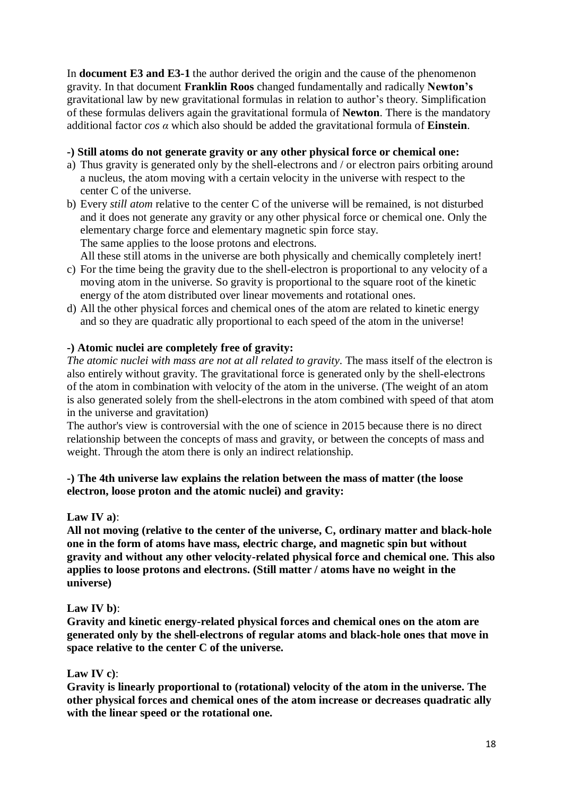In **document E3 and E3-1** the author derived the origin and the cause of the phenomenon gravity. In that document **Franklin Roos** changed fundamentally and radically **Newton's** gravitational law by new gravitational formulas in relation to author's theory. Simplification of these formulas delivers again the gravitational formula of **Newton**. There is the mandatory additional factor *cos α* which also should be added the gravitational formula of **Einstein**.

# **-) Still atoms do not generate gravity or any other physical force or chemical one:**

- a) Thus gravity is generated only by the shell-electrons and / or electron pairs orbiting around a nucleus, the atom moving with a certain velocity in the universe with respect to the center C of the universe.
- b) Every *still atom* relative to the center C of the universe will be remained, is not disturbed and it does not generate any gravity or any other physical force or chemical one. Only the elementary charge force and elementary magnetic spin force stay. The same applies to the loose protons and electrons.

All these still atoms in the universe are both physically and chemically completely inert!

- c) For the time being the gravity due to the shell-electron is proportional to any velocity of a moving atom in the universe. So gravity is proportional to the square root of the kinetic energy of the atom distributed over linear movements and rotational ones.
- d) All the other physical forces and chemical ones of the atom are related to kinetic energy and so they are quadratic ally proportional to each speed of the atom in the universe!

#### **-) Atomic nuclei are completely free of gravity:**

*The atomic nuclei with mass are not at all related to gravity*. The mass itself of the electron is also entirely without gravity. The gravitational force is generated only by the shell-electrons of the atom in combination with velocity of the atom in the universe. (The weight of an atom is also generated solely from the shell-electrons in the atom combined with speed of that atom in the universe and gravitation)

The author's view is controversial with the one of science in 2015 because there is no direct relationship between the concepts of mass and gravity, or between the concepts of mass and weight. Through the atom there is only an indirect relationship.

#### **-) The 4th universe law explains the relation between the mass of matter (the loose electron, loose proton and the atomic nuclei) and gravity:**

#### **Law IV a)**:

**All not moving (relative to the center of the universe, C, ordinary matter and black-hole one in the form of atoms have mass, electric charge, and magnetic spin but without gravity and without any other velocity-related physical force and chemical one. This also applies to loose protons and electrons. (Still matter / atoms have no weight in the universe)**

#### **Law IV b)**:

**Gravity and kinetic energy-related physical forces and chemical ones on the atom are generated only by the shell-electrons of regular atoms and black-hole ones that move in space relative to the center C of the universe.**

#### **Law IV c)**:

**Gravity is linearly proportional to (rotational) velocity of the atom in the universe. The other physical forces and chemical ones of the atom increase or decreases quadratic ally with the linear speed or the rotational one.**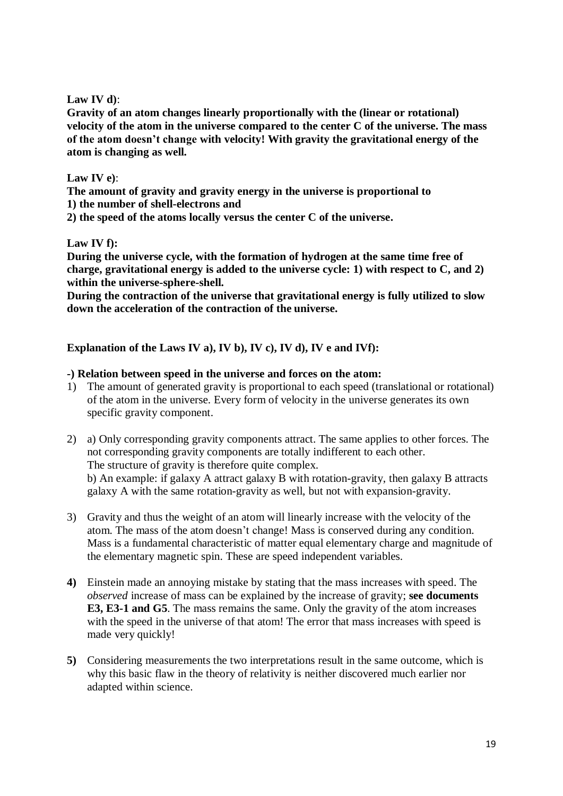# **Law IV d)**:

**Gravity of an atom changes linearly proportionally with the (linear or rotational) velocity of the atom in the universe compared to the center C of the universe. The mass of the atom doesn't change with velocity! With gravity the gravitational energy of the atom is changing as well.** 

# **Law IV e)**:

**The amount of gravity and gravity energy in the universe is proportional to 1) the number of shell-electrons and**

**2) the speed of the atoms locally versus the center C of the universe.**

# **Law IV f):**

**During the universe cycle, with the formation of hydrogen at the same time free of charge, gravitational energy is added to the universe cycle: 1) with respect to C, and 2) within the universe-sphere-shell.**

**During the contraction of the universe that gravitational energy is fully utilized to slow down the acceleration of the contraction of the universe.**

# **Explanation of the Laws IV a), IV b), IV c), IV d), IV e and IVf):**

# **-) Relation between speed in the universe and forces on the atom:**

- 1) The amount of generated gravity is proportional to each speed (translational or rotational) of the atom in the universe. Every form of velocity in the universe generates its own specific gravity component.
- 2) a) Only corresponding gravity components attract. The same applies to other forces. The not corresponding gravity components are totally indifferent to each other. The structure of gravity is therefore quite complex. b) An example: if galaxy A attract galaxy B with rotation-gravity, then galaxy B attracts galaxy A with the same rotation-gravity as well, but not with expansion-gravity.
- 3) Gravity and thus the weight of an atom will linearly increase with the velocity of the atom. The mass of the atom doesn't change! Mass is conserved during any condition. Mass is a fundamental characteristic of matter equal elementary charge and magnitude of the elementary magnetic spin. These are speed independent variables.
- **4)** Einstein made an annoying mistake by stating that the mass increases with speed. The *observed* increase of mass can be explained by the increase of gravity; **see documents E3, E3-1 and G5**. The mass remains the same. Only the gravity of the atom increases with the speed in the universe of that atom! The error that mass increases with speed is made very quickly!
- **5)** Considering measurements the two interpretations result in the same outcome, which is why this basic flaw in the theory of relativity is neither discovered much earlier nor adapted within science.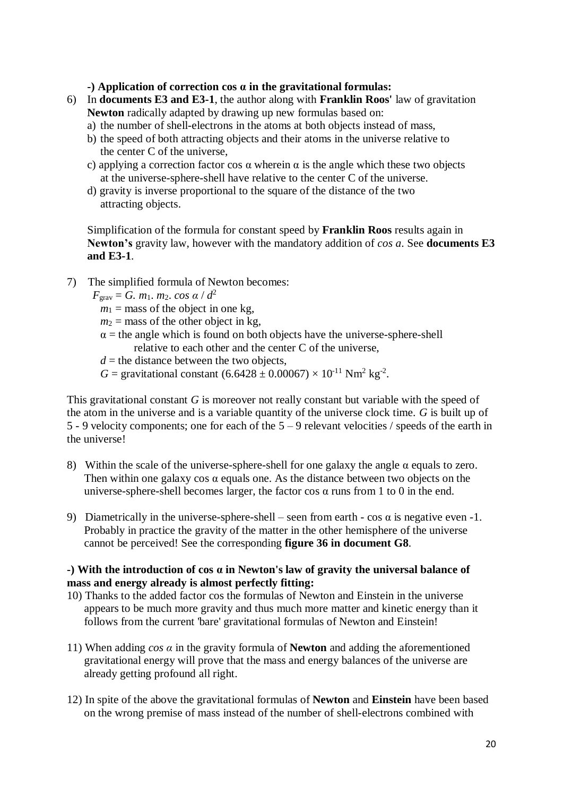**-) Application of correction cos α in the gravitational formulas:**

- 6) In **documents E3 and E3-1**, the author along with **Franklin Roos'** law of gravitation **Newton** radically adapted by drawing up new formulas based on:
	- a) the number of shell-electrons in the atoms at both objects instead of mass,
	- b) the speed of both attracting objects and their atoms in the universe relative to the center C of the universe,
	- c) applying a correction factor cos  $\alpha$  wherein  $\alpha$  is the angle which these two objects at the universe-sphere-shell have relative to the center C of the universe.
	- d) gravity is inverse proportional to the square of the distance of the two attracting objects.

Simplification of the formula for constant speed by **Franklin Roos** results again in **Newton's** gravity law, however with the mandatory addition of *cos a*. See **documents E3 and E3-1**.

7) The simplified formula of Newton becomes:

 $F_{\text{grav}} = G$ . *m*<sub>1</sub>. *m*<sub>2</sub>. *cos*  $\alpha / d^2$ 

 $m_1$  = mass of the object in one kg,

 $m_2$  = mass of the other object in kg,

- $\alpha$  = the angle which is found on both objects have the universe-sphere-shell relative to each other and the center C of the universe,
- $d =$  the distance between the two objects,

*G* = gravitational constant  $(6.6428 \pm 0.00067) \times 10^{-11}$  Nm<sup>2</sup> kg<sup>-2</sup>.

This gravitational constant *G* is moreover not really constant but variable with the speed of the atom in the universe and is a variable quantity of the universe clock time. *G* is built up of 5 - 9 velocity components; one for each of the 5 – 9 relevant velocities / speeds of the earth in the universe!

- 8) Within the scale of the universe-sphere-shell for one galaxy the angle  $\alpha$  equals to zero. Then within one galaxy cos  $\alpha$  equals one. As the distance between two objects on the universe-sphere-shell becomes larger, the factor cos  $\alpha$  runs from 1 to 0 in the end.
- 9) Diametrically in the universe-sphere-shell seen from earth cos  $\alpha$  is negative even -1. Probably in practice the gravity of the matter in the other hemisphere of the universe cannot be perceived! See the corresponding **figure 36 in document G8**.

# **-) With the introduction of cos α in Newton's law of gravity the universal balance of mass and energy already is almost perfectly fitting:**

- 10) Thanks to the added factor cos the formulas of Newton and Einstein in the universe appears to be much more gravity and thus much more matter and kinetic energy than it follows from the current 'bare' gravitational formulas of Newton and Einstein!
- 11) When adding *cos α* in the gravity formula of **Newton** and adding the aforementioned gravitational energy will prove that the mass and energy balances of the universe are already getting profound all right.
- 12) In spite of the above the gravitational formulas of **Newton** and **Einstein** have been based on the wrong premise of mass instead of the number of shell-electrons combined with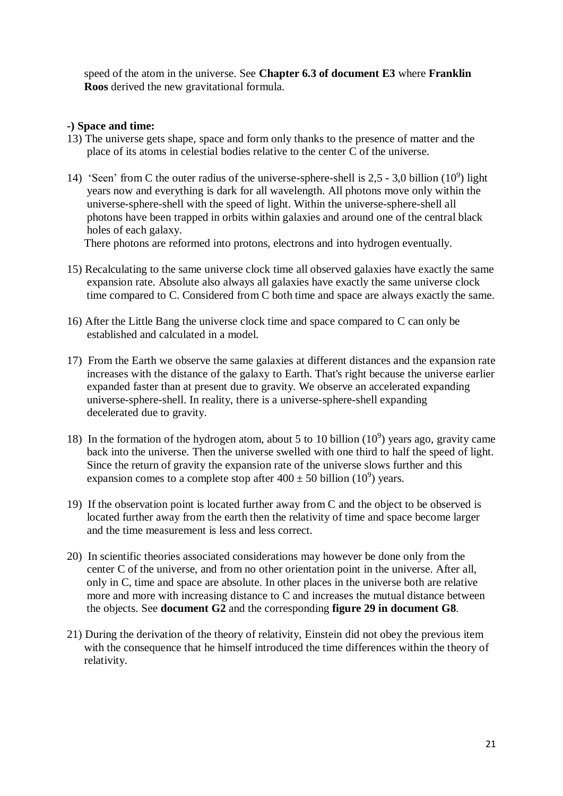speed of the atom in the universe. See **Chapter 6.3 of document E3** where **Franklin Roos** derived the new gravitational formula.

# **-) Space and time:**

- 13) The universe gets shape, space and form only thanks to the presence of matter and the place of its atoms in celestial bodies relative to the center C of the universe.
- 14) 'Seen' from C the outer radius of the universe-sphere-shell is  $2,5 3,0$  billion (10<sup>9</sup>) light years now and everything is dark for all wavelength. All photons move only within the universe-sphere-shell with the speed of light. Within the universe-sphere-shell all photons have been trapped in orbits within galaxies and around one of the central black holes of each galaxy.

There photons are reformed into protons, electrons and into hydrogen eventually.

- 15) Recalculating to the same universe clock time all observed galaxies have exactly the same expansion rate. Absolute also always all galaxies have exactly the same universe clock time compared to C. Considered from C both time and space are always exactly the same.
- 16) After the Little Bang the universe clock time and space compared to C can only be established and calculated in a model.
- 17) From the Earth we observe the same galaxies at different distances and the expansion rate increases with the distance of the galaxy to Earth. That's right because the universe earlier expanded faster than at present due to gravity. We observe an accelerated expanding universe-sphere-shell. In reality, there is a universe-sphere-shell expanding decelerated due to gravity.
- 18) In the formation of the hydrogen atom, about 5 to 10 billion  $(10<sup>9</sup>)$  years ago, gravity came back into the universe. Then the universe swelled with one third to half the speed of light. Since the return of gravity the expansion rate of the universe slows further and this expansion comes to a complete stop after  $400 \pm 50$  billion  $(10^9)$  years.
- 19) If the observation point is located further away from C and the object to be observed is located further away from the earth then the relativity of time and space become larger and the time measurement is less and less correct.
- 20) In scientific theories associated considerations may however be done only from the center C of the universe, and from no other orientation point in the universe. After all, only in C, time and space are absolute. In other places in the universe both are relative more and more with increasing distance to C and increases the mutual distance between the objects. See **document G2** and the corresponding **figure 29 in document G8**.
- 21) During the derivation of the theory of relativity, Einstein did not obey the previous item with the consequence that he himself introduced the time differences within the theory of relativity.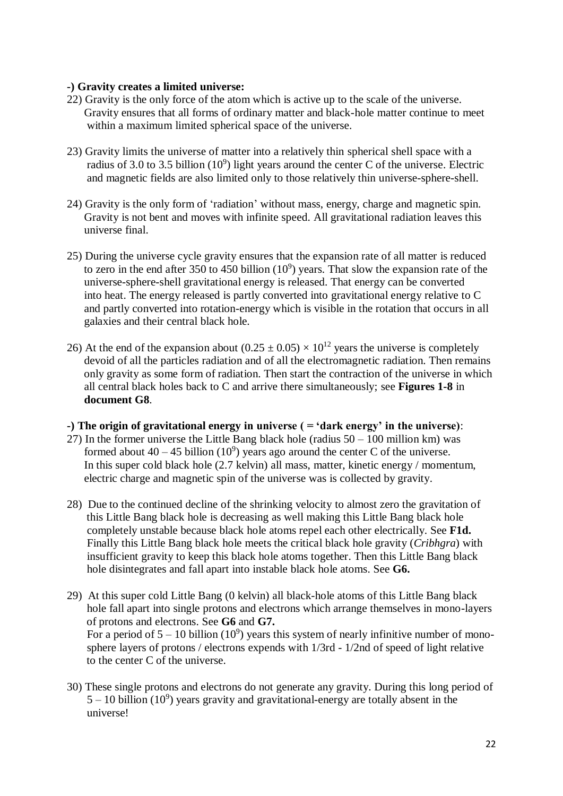# **-) Gravity creates a limited universe:**

- 22) Gravity is the only force of the atom which is active up to the scale of the universe. Gravity ensures that all forms of ordinary matter and black-hole matter continue to meet within a maximum limited spherical space of the universe.
- 23) Gravity limits the universe of matter into a relatively thin spherical shell space with a radius of 3.0 to 3.5 billion  $(10^9)$  light years around the center C of the universe. Electric and magnetic fields are also limited only to those relatively thin universe-sphere-shell.
- 24) Gravity is the only form of 'radiation' without mass, energy, charge and magnetic spin. Gravity is not bent and moves with infinite speed. All gravitational radiation leaves this universe final.
- 25) During the universe cycle gravity ensures that the expansion rate of all matter is reduced to zero in the end after 350 to 450 billion  $(10^9)$  years. That slow the expansion rate of the universe-sphere-shell gravitational energy is released. That energy can be converted into heat. The energy released is partly converted into gravitational energy relative to C and partly converted into rotation-energy which is visible in the rotation that occurs in all galaxies and their central black hole.
- 26) At the end of the expansion about  $(0.25 \pm 0.05) \times 10^{12}$  years the universe is completely devoid of all the particles radiation and of all the electromagnetic radiation. Then remains only gravity as some form of radiation. Then start the contraction of the universe in which all central black holes back to C and arrive there simultaneously; see **Figures 1-8** in **document G8**.

#### **-) The origin of gravitational energy in universe ( = 'dark energy' in the universe)**:

- 27) In the former universe the Little Bang black hole (radius  $50 100$  million km) was formed about  $40 - 45$  billion  $(10^9)$  years ago around the center C of the universe. In this super cold black hole (2.7 kelvin) all mass, matter, kinetic energy / momentum, electric charge and magnetic spin of the universe was is collected by gravity.
- 28) Due to the continued decline of the shrinking velocity to almost zero the gravitation of this Little Bang black hole is decreasing as well making this Little Bang black hole completely unstable because black hole atoms repel each other electrically. See **F1d.** Finally this Little Bang black hole meets the critical black hole gravity (*Cribhgra*) with insufficient gravity to keep this black hole atoms together. Then this Little Bang black hole disintegrates and fall apart into instable black hole atoms. See **G6.**
- 29) At this super cold Little Bang (0 kelvin) all black-hole atoms of this Little Bang black hole fall apart into single protons and electrons which arrange themselves in mono-layers of protons and electrons. See **G6** and **G7.** For a period of  $5 - 10$  billion (10<sup>9</sup>) years this system of nearly infinitive number of mono sphere layers of protons / electrons expends with 1/3rd - 1/2nd of speed of light relative to the center C of the universe.
- 30) These single protons and electrons do not generate any gravity. During this long period of  $5 - 10$  billion (10<sup>9</sup>) years gravity and gravitational-energy are totally absent in the universe!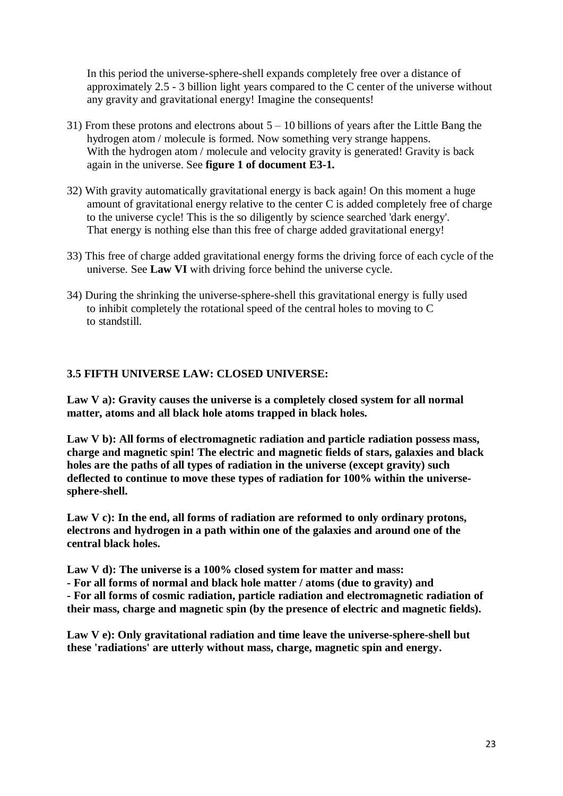In this period the universe-sphere-shell expands completely free over a distance of approximately 2.5 - 3 billion light years compared to the C center of the universe without any gravity and gravitational energy! Imagine the consequents!

- 31) From these protons and electrons about 5 10 billions of years after the Little Bang the hydrogen atom / molecule is formed. Now something very strange happens. With the hydrogen atom / molecule and velocity gravity is generated! Gravity is back again in the universe. See **figure 1 of document E3-1.**
- 32) With gravity automatically gravitational energy is back again! On this moment a huge amount of gravitational energy relative to the center C is added completely free of charge to the universe cycle! This is the so diligently by science searched 'dark energy'. That energy is nothing else than this free of charge added gravitational energy!
- 33) This free of charge added gravitational energy forms the driving force of each cycle of the universe. See **Law VI** with driving force behind the universe cycle.
- 34) During the shrinking the universe-sphere-shell this gravitational energy is fully used to inhibit completely the rotational speed of the central holes to moving to C to standstill.

# **3.5 FIFTH UNIVERSE LAW: CLOSED UNIVERSE:**

**Law V a): Gravity causes the universe is a completely closed system for all normal matter, atoms and all black hole atoms trapped in black holes.**

**Law V b): All forms of electromagnetic radiation and particle radiation possess mass, charge and magnetic spin! The electric and magnetic fields of stars, galaxies and black holes are the paths of all types of radiation in the universe (except gravity) such deflected to continue to move these types of radiation for 100% within the universesphere-shell.**

**Law V c): In the end, all forms of radiation are reformed to only ordinary protons, electrons and hydrogen in a path within one of the galaxies and around one of the central black holes.**

**Law V d): The universe is a 100% closed system for matter and mass:**

**- For all forms of normal and black hole matter / atoms (due to gravity) and - For all forms of cosmic radiation, particle radiation and electromagnetic radiation of their mass, charge and magnetic spin (by the presence of electric and magnetic fields).**

**Law V e): Only gravitational radiation and time leave the universe-sphere-shell but these 'radiations' are utterly without mass, charge, magnetic spin and energy.**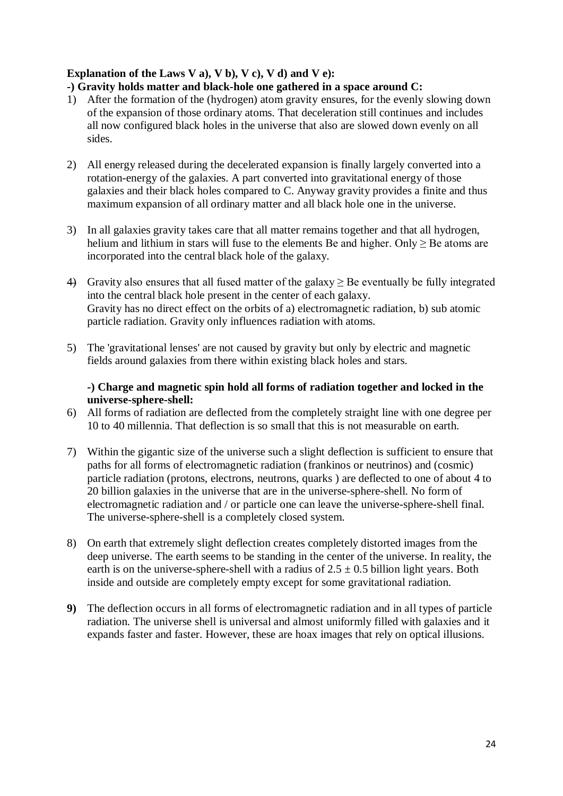# **Explanation of the Laws V a), V b), V c), V d) and V e):**

# **-) Gravity holds matter and black-hole one gathered in a space around C:**

- 1) After the formation of the (hydrogen) atom gravity ensures, for the evenly slowing down of the expansion of those ordinary atoms. That deceleration still continues and includes all now configured black holes in the universe that also are slowed down evenly on all sides.
- 2) All energy released during the decelerated expansion is finally largely converted into a rotation-energy of the galaxies. A part converted into gravitational energy of those galaxies and their black holes compared to C. Anyway gravity provides a finite and thus maximum expansion of all ordinary matter and all black hole one in the universe.
- 3) In all galaxies gravity takes care that all matter remains together and that all hydrogen, helium and lithium in stars will fuse to the elements Be and higher. Only  $\geq$  Be atoms are incorporated into the central black hole of the galaxy.
- 4) Gravity also ensures that all fused matter of the galaxy  $\geq$  Be eventually be fully integrated into the central black hole present in the center of each galaxy. Gravity has no direct effect on the orbits of a) electromagnetic radiation, b) sub atomic particle radiation. Gravity only influences radiation with atoms.
- 5) The 'gravitational lenses' are not caused by gravity but only by electric and magnetic fields around galaxies from there within existing black holes and stars.

# **-) Charge and magnetic spin hold all forms of radiation together and locked in the universe-sphere-shell:**

- 6) All forms of radiation are deflected from the completely straight line with one degree per 10 to 40 millennia. That deflection is so small that this is not measurable on earth.
- 7) Within the gigantic size of the universe such a slight deflection is sufficient to ensure that paths for all forms of electromagnetic radiation (frankinos or neutrinos) and (cosmic) particle radiation (protons, electrons, neutrons, quarks ) are deflected to one of about 4 to 20 billion galaxies in the universe that are in the universe-sphere-shell. No form of electromagnetic radiation and / or particle one can leave the universe-sphere-shell final. The universe-sphere-shell is a completely closed system.
- 8) On earth that extremely slight deflection creates completely distorted images from the deep universe. The earth seems to be standing in the center of the universe. In reality, the earth is on the universe-sphere-shell with a radius of  $2.5 \pm 0.5$  billion light years. Both inside and outside are completely empty except for some gravitational radiation.
- **9)** The deflection occurs in all forms of electromagnetic radiation and in all types of particle radiation. The universe shell is universal and almost uniformly filled with galaxies and it expands faster and faster. However, these are hoax images that rely on optical illusions.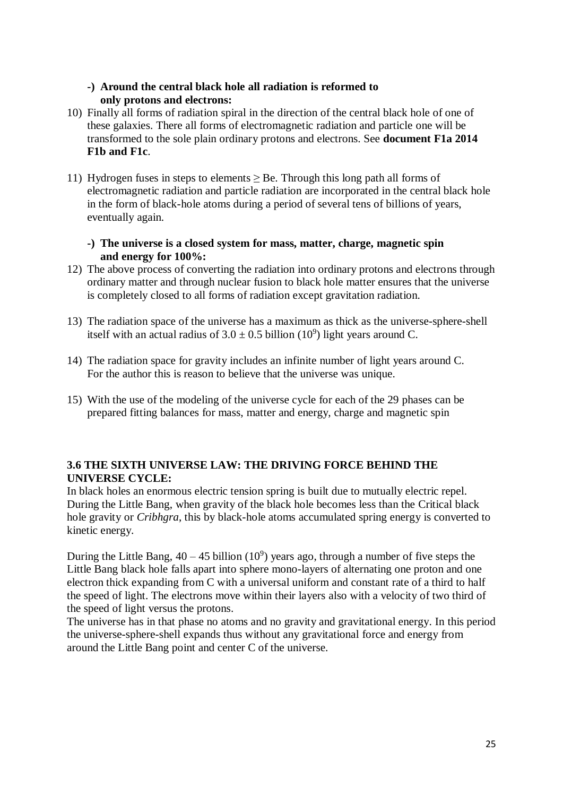# **-) Around the central black hole all radiation is reformed to only protons and electrons:**

- 10) Finally all forms of radiation spiral in the direction of the central black hole of one of these galaxies. There all forms of electromagnetic radiation and particle one will be transformed to the sole plain ordinary protons and electrons. See **document F1a 2014 F1b and F1c**.
- 11) Hydrogen fuses in steps to elements  $\geq$  Be. Through this long path all forms of electromagnetic radiation and particle radiation are incorporated in the central black hole in the form of black-hole atoms during a period of several tens of billions of years, eventually again.

# **-) The universe is a closed system for mass, matter, charge, magnetic spin and energy for 100%:**

- 12) The above process of converting the radiation into ordinary protons and electrons through ordinary matter and through nuclear fusion to black hole matter ensures that the universe is completely closed to all forms of radiation except gravitation radiation.
- 13) The radiation space of the universe has a maximum as thick as the universe-sphere-shell itself with an actual radius of  $3.0 \pm 0.5$  billion (10<sup>9</sup>) light years around C.
- 14) The radiation space for gravity includes an infinite number of light years around C. For the author this is reason to believe that the universe was unique.
- 15) With the use of the modeling of the universe cycle for each of the 29 phases can be prepared fitting balances for mass, matter and energy, charge and magnetic spin

# **3.6 THE SIXTH UNIVERSE LAW: THE DRIVING FORCE BEHIND THE UNIVERSE CYCLE:**

In black holes an enormous electric tension spring is built due to mutually electric repel. During the Little Bang, when gravity of the black hole becomes less than the Critical black hole gravity or *Cribhgra*, this by black-hole atoms accumulated spring energy is converted to kinetic energy.

During the Little Bang,  $40 - 45$  billion  $(10^9)$  years ago, through a number of five steps the Little Bang black hole falls apart into sphere mono-layers of alternating one proton and one electron thick expanding from C with a universal uniform and constant rate of a third to half the speed of light. The electrons move within their layers also with a velocity of two third of the speed of light versus the protons.

The universe has in that phase no atoms and no gravity and gravitational energy. In this period the universe-sphere-shell expands thus without any gravitational force and energy from around the Little Bang point and center C of the universe.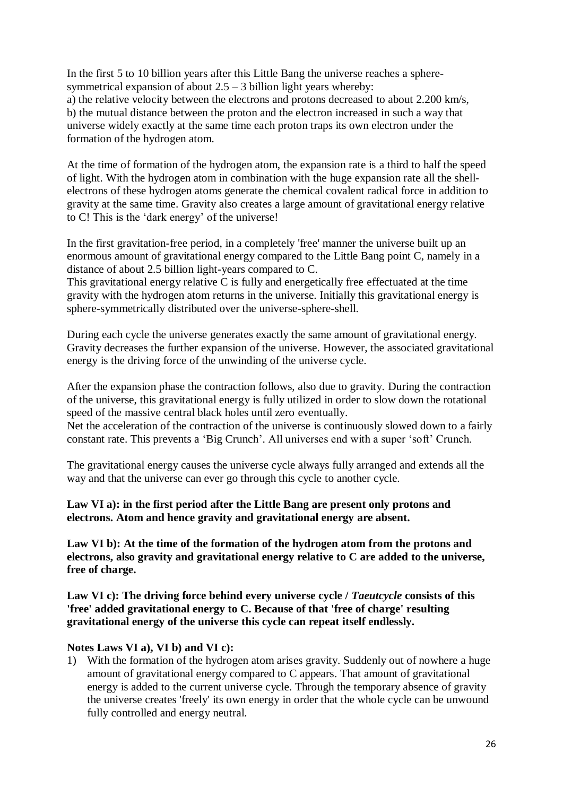In the first 5 to 10 billion years after this Little Bang the universe reaches a spheresymmetrical expansion of about  $2.5 - 3$  billion light years whereby:

a) the relative velocity between the electrons and protons decreased to about 2.200 km/s, b) the mutual distance between the proton and the electron increased in such a way that universe widely exactly at the same time each proton traps its own electron under the formation of the hydrogen atom.

At the time of formation of the hydrogen atom, the expansion rate is a third to half the speed of light. With the hydrogen atom in combination with the huge expansion rate all the shellelectrons of these hydrogen atoms generate the chemical covalent radical force in addition to gravity at the same time. Gravity also creates a large amount of gravitational energy relative to C! This is the 'dark energy' of the universe!

In the first gravitation-free period, in a completely 'free' manner the universe built up an enormous amount of gravitational energy compared to the Little Bang point C, namely in a distance of about 2.5 billion light-years compared to C.

This gravitational energy relative C is fully and energetically free effectuated at the time gravity with the hydrogen atom returns in the universe. Initially this gravitational energy is sphere-symmetrically distributed over the universe-sphere-shell.

During each cycle the universe generates exactly the same amount of gravitational energy. Gravity decreases the further expansion of the universe. However, the associated gravitational energy is the driving force of the unwinding of the universe cycle.

After the expansion phase the contraction follows, also due to gravity. During the contraction of the universe, this gravitational energy is fully utilized in order to slow down the rotational speed of the massive central black holes until zero eventually.

Net the acceleration of the contraction of the universe is continuously slowed down to a fairly constant rate. This prevents a 'Big Crunch'. All universes end with a super 'soft' Crunch.

The gravitational energy causes the universe cycle always fully arranged and extends all the way and that the universe can ever go through this cycle to another cycle.

# **Law VI a): in the first period after the Little Bang are present only protons and electrons. Atom and hence gravity and gravitational energy are absent.**

**Law VI b): At the time of the formation of the hydrogen atom from the protons and electrons, also gravity and gravitational energy relative to C are added to the universe, free of charge.**

**Law VI c): The driving force behind every universe cycle /** *Taeutcycle* **consists of this 'free' added gravitational energy to C. Because of that 'free of charge' resulting gravitational energy of the universe this cycle can repeat itself endlessly.**

# **Notes Laws VI a), VI b) and VI c):**

1) With the formation of the hydrogen atom arises gravity. Suddenly out of nowhere a huge amount of gravitational energy compared to C appears. That amount of gravitational energy is added to the current universe cycle. Through the temporary absence of gravity the universe creates 'freely' its own energy in order that the whole cycle can be unwound fully controlled and energy neutral.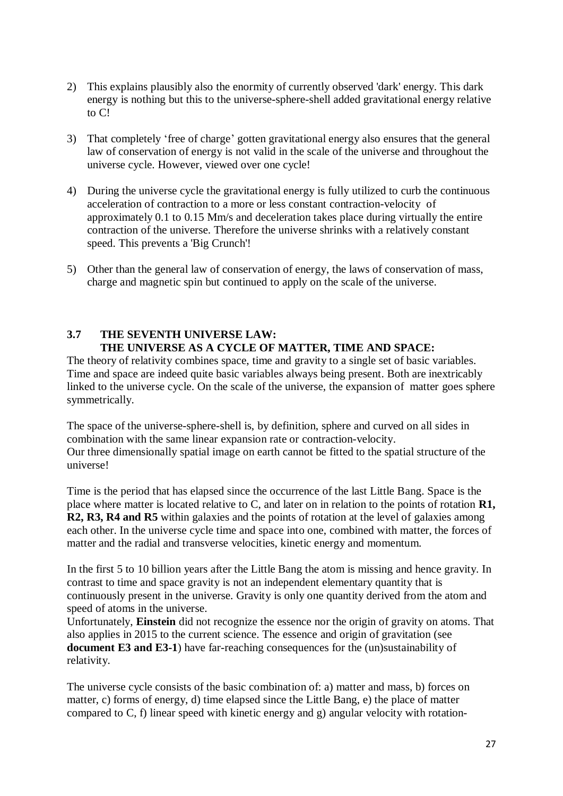- 2) This explains plausibly also the enormity of currently observed 'dark' energy. This dark energy is nothing but this to the universe-sphere-shell added gravitational energy relative to C!
- 3) That completely 'free of charge' gotten gravitational energy also ensures that the general law of conservation of energy is not valid in the scale of the universe and throughout the universe cycle. However, viewed over one cycle!
- 4) During the universe cycle the gravitational energy is fully utilized to curb the continuous acceleration of contraction to a more or less constant contraction-velocity of approximately 0.1 to 0.15 Mm/s and deceleration takes place during virtually the entire contraction of the universe. Therefore the universe shrinks with a relatively constant speed. This prevents a 'Big Crunch'!
- 5) Other than the general law of conservation of energy, the laws of conservation of mass, charge and magnetic spin but continued to apply on the scale of the universe.

#### **3.7 THE SEVENTH UNIVERSE LAW: THE UNIVERSE AS A CYCLE OF MATTER, TIME AND SPACE:**

The theory of relativity combines space, time and gravity to a single set of basic variables. Time and space are indeed quite basic variables always being present. Both are inextricably linked to the universe cycle. On the scale of the universe, the expansion of matter goes sphere symmetrically.

The space of the universe-sphere-shell is, by definition, sphere and curved on all sides in combination with the same linear expansion rate or contraction-velocity. Our three dimensionally spatial image on earth cannot be fitted to the spatial structure of the universe!

Time is the period that has elapsed since the occurrence of the last Little Bang. Space is the place where matter is located relative to C, and later on in relation to the points of rotation **R1, R2, R3, R4 and R5** within galaxies and the points of rotation at the level of galaxies among each other. In the universe cycle time and space into one, combined with matter, the forces of matter and the radial and transverse velocities, kinetic energy and momentum.

In the first 5 to 10 billion years after the Little Bang the atom is missing and hence gravity. In contrast to time and space gravity is not an independent elementary quantity that is continuously present in the universe. Gravity is only one quantity derived from the atom and speed of atoms in the universe.

Unfortunately, **Einstein** did not recognize the essence nor the origin of gravity on atoms. That also applies in 2015 to the current science. The essence and origin of gravitation (see **document E3 and E3-1**) have far-reaching consequences for the (un)sustainability of relativity.

The universe cycle consists of the basic combination of: a) matter and mass, b) forces on matter, c) forms of energy, d) time elapsed since the Little Bang, e) the place of matter compared to C, f) linear speed with kinetic energy and g) angular velocity with rotation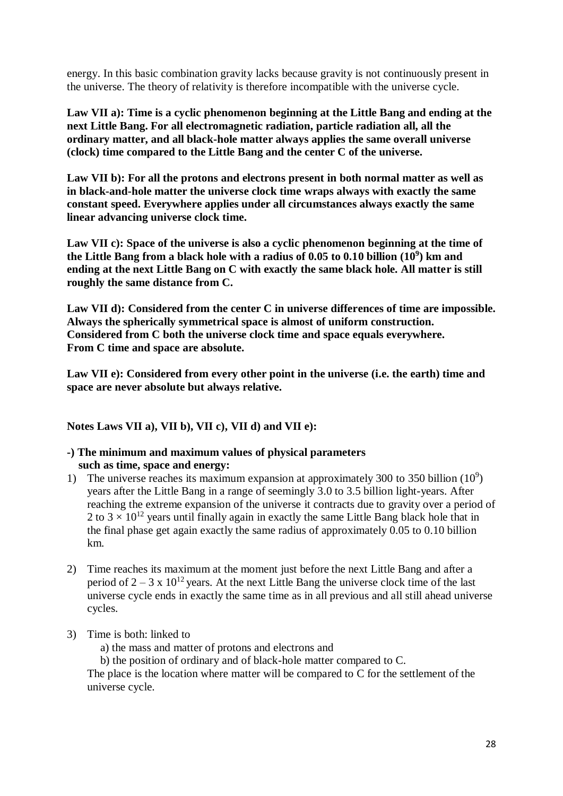energy. In this basic combination gravity lacks because gravity is not continuously present in the universe. The theory of relativity is therefore incompatible with the universe cycle.

**Law VII a): Time is a cyclic phenomenon beginning at the Little Bang and ending at the next Little Bang. For all electromagnetic radiation, particle radiation all, all the ordinary matter, and all black-hole matter always applies the same overall universe (clock) time compared to the Little Bang and the center C of the universe.**

**Law VII b): For all the protons and electrons present in both normal matter as well as in black-and-hole matter the universe clock time wraps always with exactly the same constant speed. Everywhere applies under all circumstances always exactly the same linear advancing universe clock time.**

**Law VII c): Space of the universe is also a cyclic phenomenon beginning at the time of the Little Bang from a black hole with a radius of 0.05 to 0.10 billion (10<sup>9</sup> ) km and ending at the next Little Bang on C with exactly the same black hole. All matter is still roughly the same distance from C.**

**Law VII d): Considered from the center C in universe differences of time are impossible. Always the spherically symmetrical space is almost of uniform construction. Considered from C both the universe clock time and space equals everywhere. From C time and space are absolute.**

**Law VII e): Considered from every other point in the universe (i.e. the earth) time and space are never absolute but always relative.**

**Notes Laws VII a), VII b), VII c), VII d) and VII e):**

# **-) The minimum and maximum values of physical parameters such as time, space and energy:**

- 1) The universe reaches its maximum expansion at approximately 300 to 350 billion  $(10^9)$ years after the Little Bang in a range of seemingly 3.0 to 3.5 billion light-years. After reaching the extreme expansion of the universe it contracts due to gravity over a period of 2 to  $3 \times 10^{12}$  years until finally again in exactly the same Little Bang black hole that in the final phase get again exactly the same radius of approximately 0.05 to 0.10 billion km.
- 2) Time reaches its maximum at the moment just before the next Little Bang and after a period of  $2 - 3 \times 10^{12}$  years. At the next Little Bang the universe clock time of the last universe cycle ends in exactly the same time as in all previous and all still ahead universe cycles.
- 3) Time is both: linked to
	- a) the mass and matter of protons and electrons and
	- b) the position of ordinary and of black-hole matter compared to C.

The place is the location where matter will be compared to C for the settlement of the universe cycle.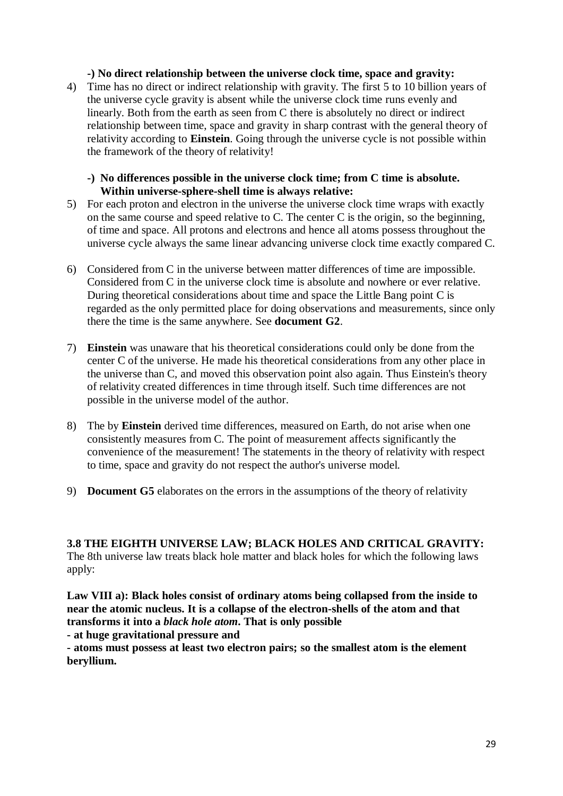## **-) No direct relationship between the universe clock time, space and gravity:**

4) Time has no direct or indirect relationship with gravity. The first 5 to 10 billion years of the universe cycle gravity is absent while the universe clock time runs evenly and linearly. Both from the earth as seen from C there is absolutely no direct or indirect relationship between time, space and gravity in sharp contrast with the general theory of relativity according to **Einstein**. Going through the universe cycle is not possible within the framework of the theory of relativity!

### **-) No differences possible in the universe clock time; from C time is absolute. Within universe-sphere-shell time is always relative:**

- 5) For each proton and electron in the universe the universe clock time wraps with exactly on the same course and speed relative to C. The center C is the origin, so the beginning, of time and space. All protons and electrons and hence all atoms possess throughout the universe cycle always the same linear advancing universe clock time exactly compared C.
- 6) Considered from C in the universe between matter differences of time are impossible. Considered from C in the universe clock time is absolute and nowhere or ever relative. During theoretical considerations about time and space the Little Bang point C is regarded as the only permitted place for doing observations and measurements, since only there the time is the same anywhere. See **document G2**.
- 7) **Einstein** was unaware that his theoretical considerations could only be done from the center C of the universe. He made his theoretical considerations from any other place in the universe than C, and moved this observation point also again. Thus Einstein's theory of relativity created differences in time through itself. Such time differences are not possible in the universe model of the author.
- 8) The by **Einstein** derived time differences, measured on Earth, do not arise when one consistently measures from C. The point of measurement affects significantly the convenience of the measurement! The statements in the theory of relativity with respect to time, space and gravity do not respect the author's universe model.
- 9) **Document G5** elaborates on the errors in the assumptions of the theory of relativity

**3.8 THE EIGHTH UNIVERSE LAW; BLACK HOLES AND CRITICAL GRAVITY:** The 8th universe law treats black hole matter and black holes for which the following laws apply:

**Law VIII a): Black holes consist of ordinary atoms being collapsed from the inside to near the atomic nucleus. It is a collapse of the electron-shells of the atom and that transforms it into a** *black hole atom***. That is only possible**

**- at huge gravitational pressure and**

**- atoms must possess at least two electron pairs; so the smallest atom is the element beryllium.**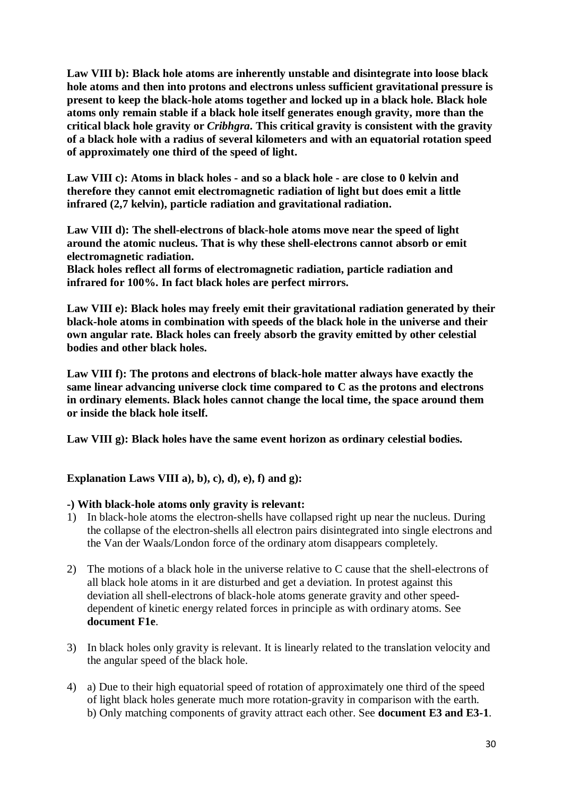**Law VIII b): Black hole atoms are inherently unstable and disintegrate into loose black hole atoms and then into protons and electrons unless sufficient gravitational pressure is present to keep the black-hole atoms together and locked up in a black hole. Black hole atoms only remain stable if a black hole itself generates enough gravity, more than the critical black hole gravity or** *Cribhgra***. This critical gravity is consistent with the gravity of a black hole with a radius of several kilometers and with an equatorial rotation speed of approximately one third of the speed of light.**

**Law VIII c): Atoms in black holes - and so a black hole - are close to 0 kelvin and therefore they cannot emit electromagnetic radiation of light but does emit a little infrared (2,7 kelvin), particle radiation and gravitational radiation.**

**Law VIII d): The shell-electrons of black-hole atoms move near the speed of light around the atomic nucleus. That is why these shell-electrons cannot absorb or emit electromagnetic radiation.**

**Black holes reflect all forms of electromagnetic radiation, particle radiation and infrared for 100%. In fact black holes are perfect mirrors.**

**Law VIII e): Black holes may freely emit their gravitational radiation generated by their black-hole atoms in combination with speeds of the black hole in the universe and their own angular rate. Black holes can freely absorb the gravity emitted by other celestial bodies and other black holes.**

**Law VIII f): The protons and electrons of black-hole matter always have exactly the same linear advancing universe clock time compared to C as the protons and electrons in ordinary elements. Black holes cannot change the local time, the space around them or inside the black hole itself.**

**Law VIII g): Black holes have the same event horizon as ordinary celestial bodies.**

# **Explanation Laws VIII a), b), c), d), e), f) and g):**

#### **-) With black-hole atoms only gravity is relevant:**

- 1) In black-hole atoms the electron-shells have collapsed right up near the nucleus. During the collapse of the electron-shells all electron pairs disintegrated into single electrons and the Van der Waals/London force of the ordinary atom disappears completely.
- 2) The motions of a black hole in the universe relative to C cause that the shell-electrons of all black hole atoms in it are disturbed and get a deviation. In protest against this deviation all shell-electrons of black-hole atoms generate gravity and other speeddependent of kinetic energy related forces in principle as with ordinary atoms. See **document F1e**.
- 3) In black holes only gravity is relevant. It is linearly related to the translation velocity and the angular speed of the black hole.
- 4) a) Due to their high equatorial speed of rotation of approximately one third of the speed of light black holes generate much more rotation-gravity in comparison with the earth. b) Only matching components of gravity attract each other. See **document E3 and E3-1**.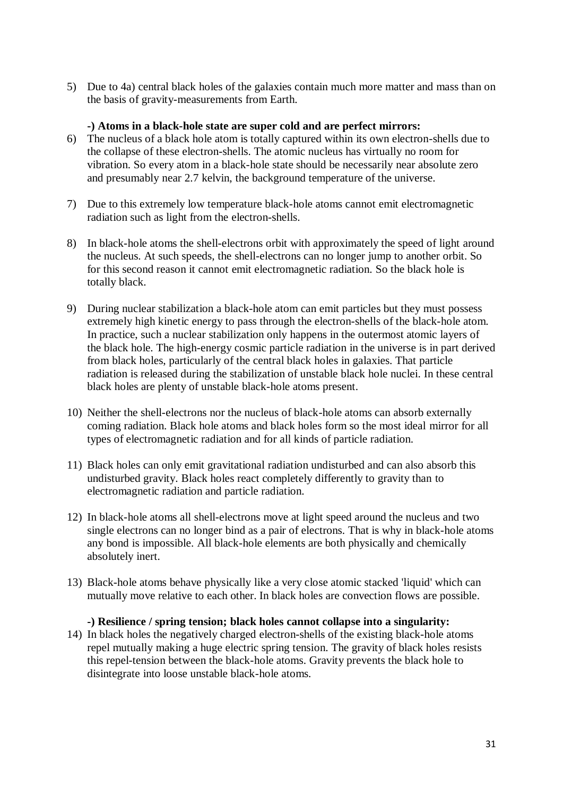5) Due to 4a) central black holes of the galaxies contain much more matter and mass than on the basis of gravity-measurements from Earth.

### **-) Atoms in a black-hole state are super cold and are perfect mirrors:**

- 6) The nucleus of a black hole atom is totally captured within its own electron-shells due to the collapse of these electron-shells. The atomic nucleus has virtually no room for vibration. So every atom in a black-hole state should be necessarily near absolute zero and presumably near 2.7 kelvin, the background temperature of the universe.
- 7) Due to this extremely low temperature black-hole atoms cannot emit electromagnetic radiation such as light from the electron-shells.
- 8) In black-hole atoms the shell-electrons orbit with approximately the speed of light around the nucleus. At such speeds, the shell-electrons can no longer jump to another orbit. So for this second reason it cannot emit electromagnetic radiation. So the black hole is totally black.
- 9) During nuclear stabilization a black-hole atom can emit particles but they must possess extremely high kinetic energy to pass through the electron-shells of the black-hole atom. In practice, such a nuclear stabilization only happens in the outermost atomic layers of the black hole. The high-energy cosmic particle radiation in the universe is in part derived from black holes, particularly of the central black holes in galaxies. That particle radiation is released during the stabilization of unstable black hole nuclei. In these central black holes are plenty of unstable black-hole atoms present.
- 10) Neither the shell-electrons nor the nucleus of black-hole atoms can absorb externally coming radiation. Black hole atoms and black holes form so the most ideal mirror for all types of electromagnetic radiation and for all kinds of particle radiation.
- 11) Black holes can only emit gravitational radiation undisturbed and can also absorb this undisturbed gravity. Black holes react completely differently to gravity than to electromagnetic radiation and particle radiation.
- 12) In black-hole atoms all shell-electrons move at light speed around the nucleus and two single electrons can no longer bind as a pair of electrons. That is why in black-hole atoms any bond is impossible. All black-hole elements are both physically and chemically absolutely inert.
- 13) Black-hole atoms behave physically like a very close atomic stacked 'liquid' which can mutually move relative to each other. In black holes are convection flows are possible.

# **-) Resilience / spring tension; black holes cannot collapse into a singularity:**

14) In black holes the negatively charged electron-shells of the existing black-hole atoms repel mutually making a huge electric spring tension. The gravity of black holes resists this repel-tension between the black-hole atoms. Gravity prevents the black hole to disintegrate into loose unstable black-hole atoms.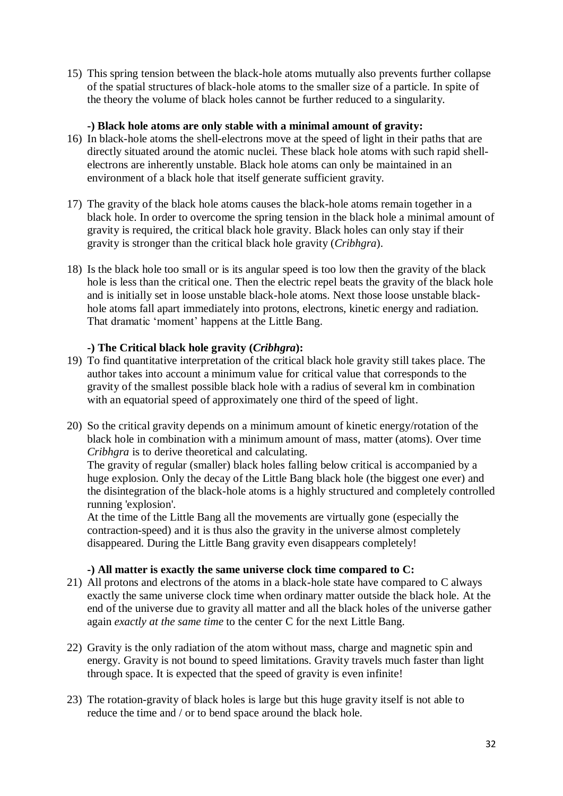15) This spring tension between the black-hole atoms mutually also prevents further collapse of the spatial structures of black-hole atoms to the smaller size of a particle. In spite of the theory the volume of black holes cannot be further reduced to a singularity.

# **-) Black hole atoms are only stable with a minimal amount of gravity:**

- 16) In black-hole atoms the shell-electrons move at the speed of light in their paths that are directly situated around the atomic nuclei. These black hole atoms with such rapid shellelectrons are inherently unstable. Black hole atoms can only be maintained in an environment of a black hole that itself generate sufficient gravity.
- 17) The gravity of the black hole atoms causes the black-hole atoms remain together in a black hole. In order to overcome the spring tension in the black hole a minimal amount of gravity is required, the critical black hole gravity. Black holes can only stay if their gravity is stronger than the critical black hole gravity (*Cribhgra*).
- 18) Is the black hole too small or is its angular speed is too low then the gravity of the black hole is less than the critical one. Then the electric repel beats the gravity of the black hole and is initially set in loose unstable black-hole atoms. Next those loose unstable blackhole atoms fall apart immediately into protons, electrons, kinetic energy and radiation. That dramatic 'moment' happens at the Little Bang.

# **-) The Critical black hole gravity (***Cribhgra***):**

- 19) To find quantitative interpretation of the critical black hole gravity still takes place. The author takes into account a minimum value for critical value that corresponds to the gravity of the smallest possible black hole with a radius of several km in combination with an equatorial speed of approximately one third of the speed of light.
- 20) So the critical gravity depends on a minimum amount of kinetic energy/rotation of the black hole in combination with a minimum amount of mass, matter (atoms). Over time *Cribhgra* is to derive theoretical and calculating.

The gravity of regular (smaller) black holes falling below critical is accompanied by a huge explosion. Only the decay of the Little Bang black hole (the biggest one ever) and the disintegration of the black-hole atoms is a highly structured and completely controlled running 'explosion'.

At the time of the Little Bang all the movements are virtually gone (especially the contraction-speed) and it is thus also the gravity in the universe almost completely disappeared. During the Little Bang gravity even disappears completely!

#### **-) All matter is exactly the same universe clock time compared to C:**

- 21) All protons and electrons of the atoms in a black-hole state have compared to C always exactly the same universe clock time when ordinary matter outside the black hole. At the end of the universe due to gravity all matter and all the black holes of the universe gather again *exactly at the same time* to the center C for the next Little Bang.
- 22) Gravity is the only radiation of the atom without mass, charge and magnetic spin and energy. Gravity is not bound to speed limitations. Gravity travels much faster than light through space. It is expected that the speed of gravity is even infinite!
- 23) The rotation-gravity of black holes is large but this huge gravity itself is not able to reduce the time and / or to bend space around the black hole.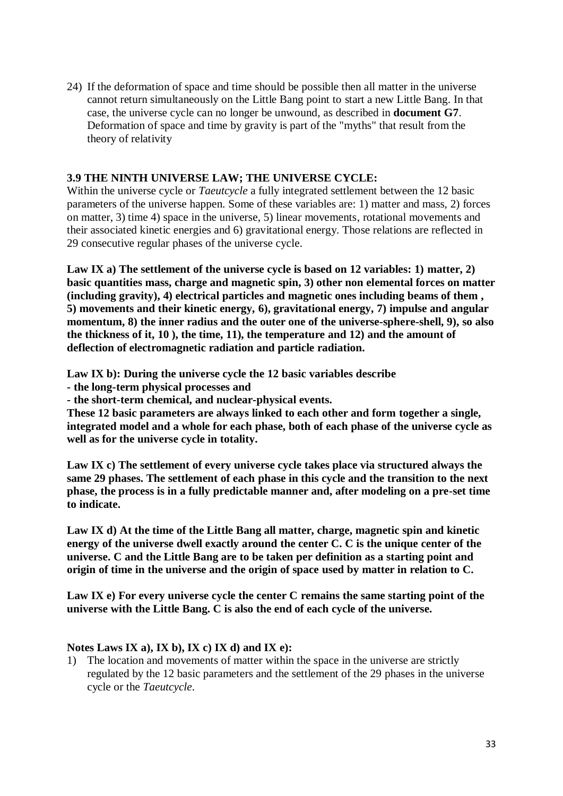24) If the deformation of space and time should be possible then all matter in the universe cannot return simultaneously on the Little Bang point to start a new Little Bang. In that case, the universe cycle can no longer be unwound, as described in **document G7**. Deformation of space and time by gravity is part of the "myths" that result from the theory of relativity

# **3.9 THE NINTH UNIVERSE LAW; THE UNIVERSE CYCLE:**

Within the universe cycle or *Taeutcycle* a fully integrated settlement between the 12 basic parameters of the universe happen. Some of these variables are: 1) matter and mass, 2) forces on matter, 3) time 4) space in the universe, 5) linear movements, rotational movements and their associated kinetic energies and 6) gravitational energy. Those relations are reflected in 29 consecutive regular phases of the universe cycle.

**Law IX a) The settlement of the universe cycle is based on 12 variables: 1) matter, 2) basic quantities mass, charge and magnetic spin, 3) other non elemental forces on matter (including gravity), 4) electrical particles and magnetic ones including beams of them , 5) movements and their kinetic energy, 6), gravitational energy, 7) impulse and angular momentum, 8) the inner radius and the outer one of the universe-sphere-shell, 9), so also the thickness of it, 10 ), the time, 11), the temperature and 12) and the amount of deflection of electromagnetic radiation and particle radiation.**

**Law IX b): During the universe cycle the 12 basic variables describe**

**- the long-term physical processes and** 

**- the short-term chemical, and nuclear-physical events.**

**These 12 basic parameters are always linked to each other and form together a single, integrated model and a whole for each phase, both of each phase of the universe cycle as well as for the universe cycle in totality.**

**Law IX c) The settlement of every universe cycle takes place via structured always the same 29 phases. The settlement of each phase in this cycle and the transition to the next phase, the process is in a fully predictable manner and, after modeling on a pre-set time to indicate.**

**Law IX d) At the time of the Little Bang all matter, charge, magnetic spin and kinetic energy of the universe dwell exactly around the center C. C is the unique center of the universe. C and the Little Bang are to be taken per definition as a starting point and origin of time in the universe and the origin of space used by matter in relation to C.**

**Law IX e) For every universe cycle the center C remains the same starting point of the universe with the Little Bang. C is also the end of each cycle of the universe.**

#### **Notes Laws IX a), IX b), IX c) IX d) and IX e):**

1) The location and movements of matter within the space in the universe are strictly regulated by the 12 basic parameters and the settlement of the 29 phases in the universe cycle or the *Taeutcycle*.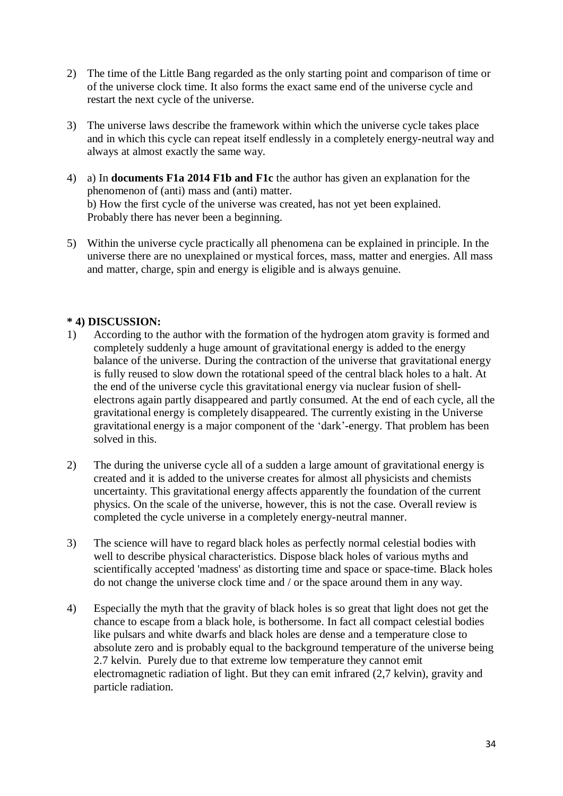- 2) The time of the Little Bang regarded as the only starting point and comparison of time or of the universe clock time. It also forms the exact same end of the universe cycle and restart the next cycle of the universe.
- 3) The universe laws describe the framework within which the universe cycle takes place and in which this cycle can repeat itself endlessly in a completely energy-neutral way and always at almost exactly the same way.
- 4) a) In **documents F1a 2014 F1b and F1c** the author has given an explanation for the phenomenon of (anti) mass and (anti) matter. b) How the first cycle of the universe was created, has not yet been explained. Probably there has never been a beginning.
- 5) Within the universe cycle practically all phenomena can be explained in principle. In the universe there are no unexplained or mystical forces, mass, matter and energies. All mass and matter, charge, spin and energy is eligible and is always genuine.

# **\* 4) DISCUSSION:**

- 1) According to the author with the formation of the hydrogen atom gravity is formed and completely suddenly a huge amount of gravitational energy is added to the energy balance of the universe. During the contraction of the universe that gravitational energy is fully reused to slow down the rotational speed of the central black holes to a halt. At the end of the universe cycle this gravitational energy via nuclear fusion of shellelectrons again partly disappeared and partly consumed. At the end of each cycle, all the gravitational energy is completely disappeared. The currently existing in the Universe gravitational energy is a major component of the 'dark'-energy. That problem has been solved in this.
- 2) The during the universe cycle all of a sudden a large amount of gravitational energy is created and it is added to the universe creates for almost all physicists and chemists uncertainty. This gravitational energy affects apparently the foundation of the current physics. On the scale of the universe, however, this is not the case. Overall review is completed the cycle universe in a completely energy-neutral manner.
- 3) The science will have to regard black holes as perfectly normal celestial bodies with well to describe physical characteristics. Dispose black holes of various myths and scientifically accepted 'madness' as distorting time and space or space-time. Black holes do not change the universe clock time and / or the space around them in any way.
- 4) Especially the myth that the gravity of black holes is so great that light does not get the chance to escape from a black hole, is bothersome. In fact all compact celestial bodies like pulsars and white dwarfs and black holes are dense and a temperature close to absolute zero and is probably equal to the background temperature of the universe being 2.7 kelvin. Purely due to that extreme low temperature they cannot emit electromagnetic radiation of light. But they can emit infrared (2,7 kelvin), gravity and particle radiation.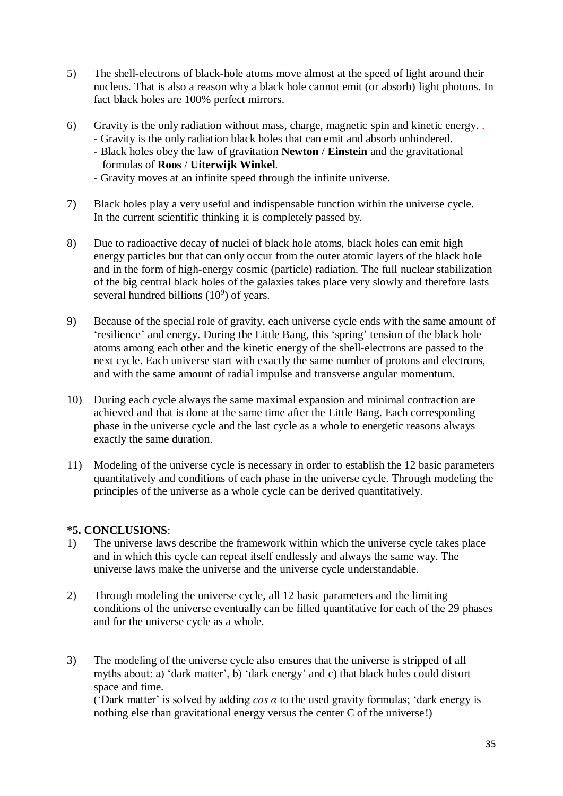- 5) The shell-electrons of black-hole atoms move almost at the speed of light around their nucleus. That is also a reason why a black hole cannot emit (or absorb) light photons. In fact black holes are 100% perfect mirrors.
- 6) Gravity is the only radiation without mass, charge, magnetic spin and kinetic energy. .
	- Gravity is the only radiation black holes that can emit and absorb unhindered.
	- Black holes obey the law of gravitation **Newton** / **Einstein** and the gravitational formulas of **Roos** / **Uiterwijk Winkel**.
	- Gravity moves at an infinite speed through the infinite universe.
- 7) Black holes play a very useful and indispensable function within the universe cycle. In the current scientific thinking it is completely passed by.
- 8) Due to radioactive decay of nuclei of black hole atoms, black holes can emit high energy particles but that can only occur from the outer atomic layers of the black hole and in the form of high-energy cosmic (particle) radiation. The full nuclear stabilization of the big central black holes of the galaxies takes place very slowly and therefore lasts several hundred billions  $(10^9)$  of years.
- 9) Because of the special role of gravity, each universe cycle ends with the same amount of 'resilience' and energy. During the Little Bang, this 'spring' tension of the black hole atoms among each other and the kinetic energy of the shell-electrons are passed to the next cycle. Each universe start with exactly the same number of protons and electrons, and with the same amount of radial impulse and transverse angular momentum.
- 10) During each cycle always the same maximal expansion and minimal contraction are achieved and that is done at the same time after the Little Bang. Each corresponding phase in the universe cycle and the last cycle as a whole to energetic reasons always exactly the same duration.
- 11) Modeling of the universe cycle is necessary in order to establish the 12 basic parameters quantitatively and conditions of each phase in the universe cycle. Through modeling the principles of the universe as a whole cycle can be derived quantitatively.

# **\*5. CONCLUSIONS**:

- 1) The universe laws describe the framework within which the universe cycle takes place and in which this cycle can repeat itself endlessly and always the same way. The universe laws make the universe and the universe cycle understandable.
- 2) Through modeling the universe cycle, all 12 basic parameters and the limiting conditions of the universe eventually can be filled quantitative for each of the 29 phases and for the universe cycle as a whole.
- 3) The modeling of the universe cycle also ensures that the universe is stripped of all myths about: a) 'dark matter', b) 'dark energy' and c) that black holes could distort space and time.

('Dark matter' is solved by adding *cos α* to the used gravity formulas; 'dark energy is nothing else than gravitational energy versus the center C of the universe!)